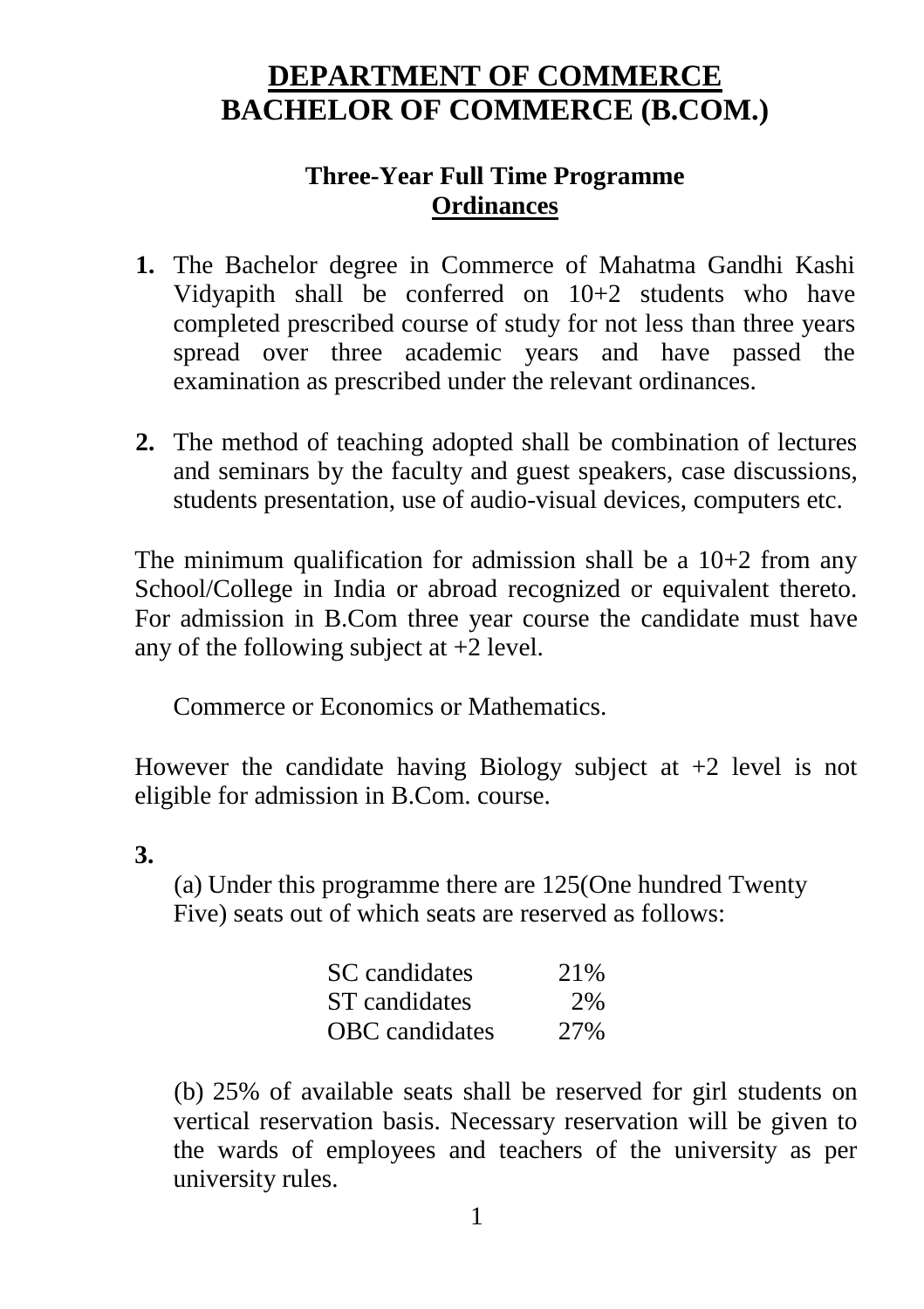# **DEPARTMENT OF COMMERCE BACHELOR OF COMMERCE (B.COM.)**

# **Three-Year Full Time Programme Ordinances**

- **1.** The Bachelor degree in Commerce of Mahatma Gandhi Kashi Vidyapith shall be conferred on 10+2 students who have completed prescribed course of study for not less than three years spread over three academic years and have passed the examination as prescribed under the relevant ordinances.
- **2.** The method of teaching adopted shall be combination of lectures and seminars by the faculty and guest speakers, case discussions, students presentation, use of audio-visual devices, computers etc.

The minimum qualification for admission shall be a  $10+2$  from any School/College in India or abroad recognized or equivalent thereto. For admission in B.Com three year course the candidate must have any of the following subject at  $+2$  level.

Commerce or Economics or Mathematics.

However the candidate having Biology subject at  $+2$  level is not eligible for admission in B.Com. course.

# **3.**

(a) Under this programme there are 125(One hundred Twenty Five) seats out of which seats are reserved as follows:

| SC candidates         | 21\% |
|-----------------------|------|
| ST candidates         | 2%   |
| <b>OBC</b> candidates | 27%  |

(b) 25% of available seats shall be reserved for girl students on vertical reservation basis. Necessary reservation will be given to the wards of employees and teachers of the university as per university rules.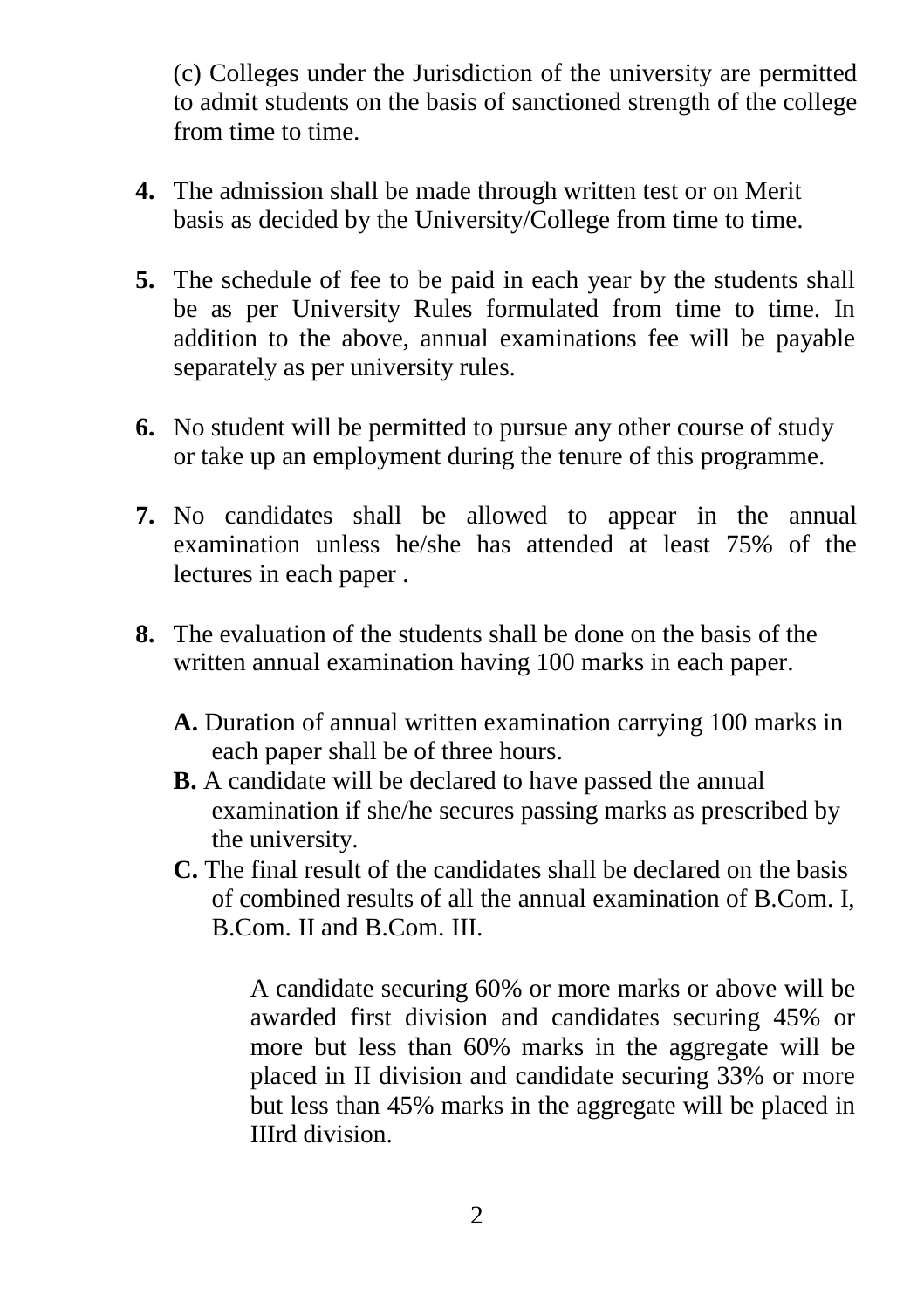(c) Colleges under the Jurisdiction of the university are permitted to admit students on the basis of sanctioned strength of the college from time to time.

- **4.** The admission shall be made through written test or on Merit basis as decided by the University/College from time to time.
- **5.** The schedule of fee to be paid in each year by the students shall be as per University Rules formulated from time to time. In addition to the above, annual examinations fee will be payable separately as per university rules.
- **6.** No student will be permitted to pursue any other course of study or take up an employment during the tenure of this programme.
- **7.** No candidates shall be allowed to appear in the annual examination unless he/she has attended at least 75% of the lectures in each paper .
- **8.** The evaluation of the students shall be done on the basis of the written annual examination having 100 marks in each paper.
	- **A.** Duration of annual written examination carrying 100 marks in each paper shall be of three hours.
	- **B.** A candidate will be declared to have passed the annual examination if she/he secures passing marks as prescribed by the university.
	- **C.** The final result of the candidates shall be declared on the basis of combined results of all the annual examination of B.Com. I, B.Com. II and B.Com. III.

A candidate securing 60% or more marks or above will be awarded first division and candidates securing 45% or more but less than 60% marks in the aggregate will be placed in II division and candidate securing 33% or more but less than 45% marks in the aggregate will be placed in IIIrd division.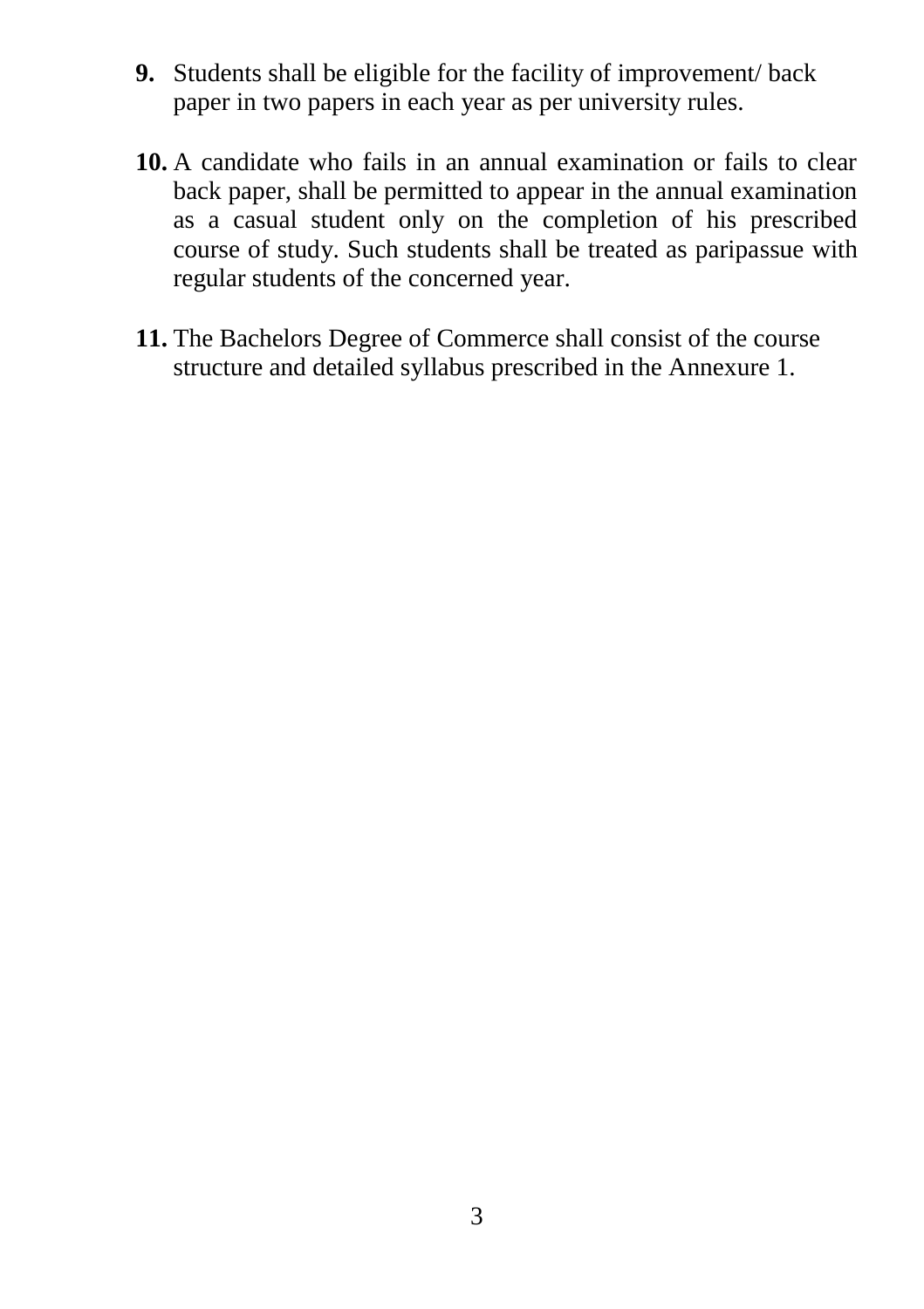- **9.** Students shall be eligible for the facility of improvement/ back paper in two papers in each year as per university rules.
- **10.** A candidate who fails in an annual examination or fails to clear back paper, shall be permitted to appear in the annual examination as a casual student only on the completion of his prescribed course of study. Such students shall be treated as paripassue with regular students of the concerned year.
- **11.** The Bachelors Degree of Commerce shall consist of the course structure and detailed syllabus prescribed in the Annexure 1.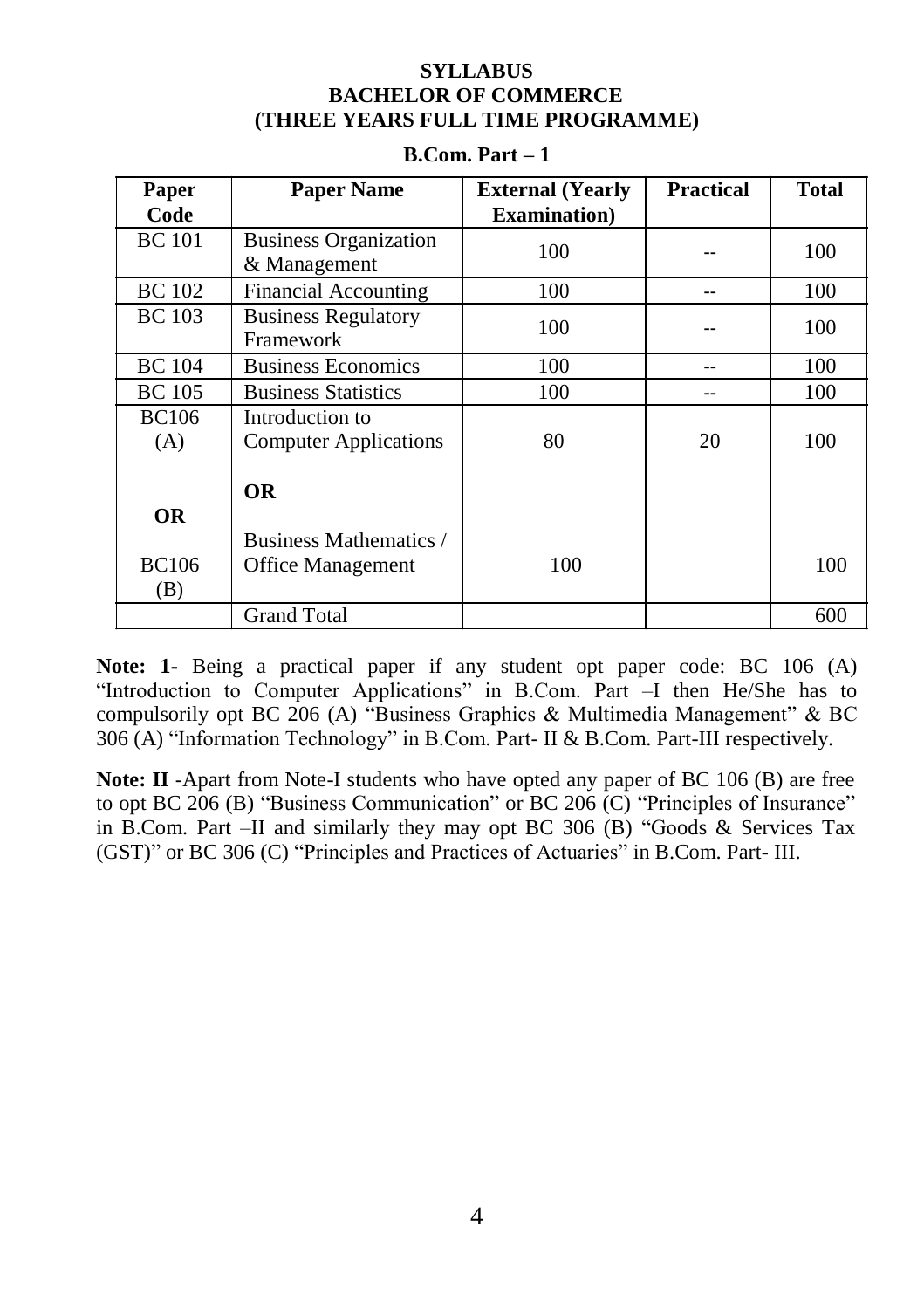# **SYLLABUS BACHELOR OF COMMERCE (THREE YEARS FULL TIME PROGRAMME)**

| Paper               | <b>Paper Name</b>                                  | <b>External</b> (Yearly | <b>Practical</b> | <b>Total</b> |
|---------------------|----------------------------------------------------|-------------------------|------------------|--------------|
| Code                |                                                    | <b>Examination</b> )    |                  |              |
| <b>BC</b> 101       | <b>Business Organization</b><br>& Management       | 100                     |                  | 100          |
| <b>BC</b> 102       | Financial Accounting                               | 100                     |                  | 100          |
| <b>BC</b> 103       | <b>Business Regulatory</b><br>Framework            | 100                     |                  | 100          |
| <b>BC</b> 104       | <b>Business Economics</b>                          | 100                     |                  | 100          |
| <b>BC</b> 105       | <b>Business Statistics</b>                         | 100                     |                  | 100          |
| <b>BC106</b><br>(A) | Introduction to<br><b>Computer Applications</b>    | 80                      | 20               | 100          |
| <b>OR</b>           | <b>OR</b>                                          |                         |                  |              |
| <b>BC106</b><br>(B) | Business Mathematics /<br><b>Office Management</b> | 100                     |                  | 100          |
|                     | <b>Grand Total</b>                                 |                         |                  | 600          |

# **B.Com. Part – 1**

**Note: 1-** Being a practical paper if any student opt paper code: BC 106 (A) "Introduction to Computer Applications" in B.Com. Part –I then He/She has to compulsorily opt BC 206 (A) "Business Graphics & Multimedia Management" & BC 306 (A) "Information Technology" in B.Com. Part- II & B.Com. Part-III respectively.

**Note: II** -Apart from Note-I students who have opted any paper of BC 106 (B) are free to opt BC 206 (B) "Business Communication" or BC 206 (C) "Principles of Insurance" in B.Com. Part –II and similarly they may opt BC 306 (B) "Goods & Services Tax (GST)" or BC 306 (C) "Principles and Practices of Actuaries" in B.Com. Part- III.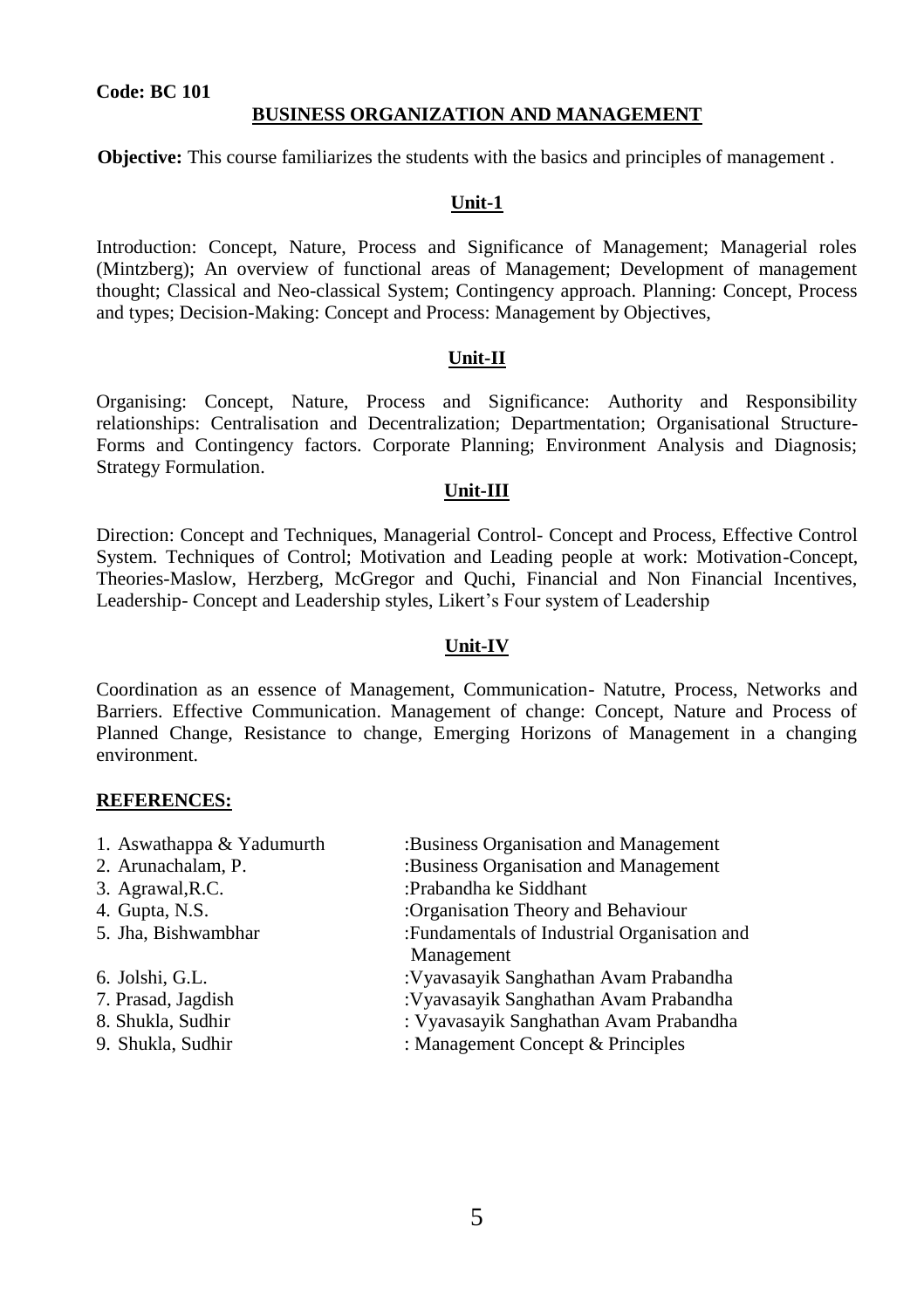# **BUSINESS ORGANIZATION AND MANAGEMENT**

**Objective:** This course familiarizes the students with the basics and principles of management .

# **Unit-1**

Introduction: Concept, Nature, Process and Significance of Management; Managerial roles (Mintzberg); An overview of functional areas of Management; Development of management thought; Classical and Neo-classical System; Contingency approach. Planning: Concept, Process and types; Decision-Making: Concept and Process: Management by Objectives,

#### **Unit-II**

Organising: Concept, Nature, Process and Significance: Authority and Responsibility relationships: Centralisation and Decentralization; Departmentation; Organisational Structure-Forms and Contingency factors. Corporate Planning; Environment Analysis and Diagnosis; Strategy Formulation.

#### **Unit-III**

Direction: Concept and Techniques, Managerial Control- Concept and Process, Effective Control System. Techniques of Control; Motivation and Leading people at work: Motivation-Concept, Theories-Maslow, Herzberg, McGregor and Quchi, Financial and Non Financial Incentives, Leadership- Concept and Leadership styles, Likert's Four system of Leadership

#### **Unit-IV**

Coordination as an essence of Management, Communication- Natutre, Process, Networks and Barriers. Effective Communication. Management of change: Concept, Nature and Process of Planned Change, Resistance to change, Emerging Horizons of Management in a changing environment.

| 1. Aswathappa & Yadumurth | :Business Organisation and Management         |
|---------------------------|-----------------------------------------------|
| 2. Arunachalam, P.        | :Business Organisation and Management         |
| 3. Agrawal, R.C.          | :Prabandha ke Siddhant                        |
| 4. Gupta, N.S.            | :Organisation Theory and Behaviour            |
| 5. Jha, Bishwambhar       | : Fundamentals of Industrial Organisation and |
|                           | Management                                    |
| 6. Jolshi, G.L.           | : Vyavasayik Sanghathan Avam Prabandha        |
| 7. Prasad, Jagdish        | : Vyavasayik Sanghathan Avam Prabandha        |
| 8. Shukla, Sudhir         | : Vyavasayik Sanghathan Avam Prabandha        |
| 9. Shukla, Sudhir         | : Management Concept & Principles             |
|                           |                                               |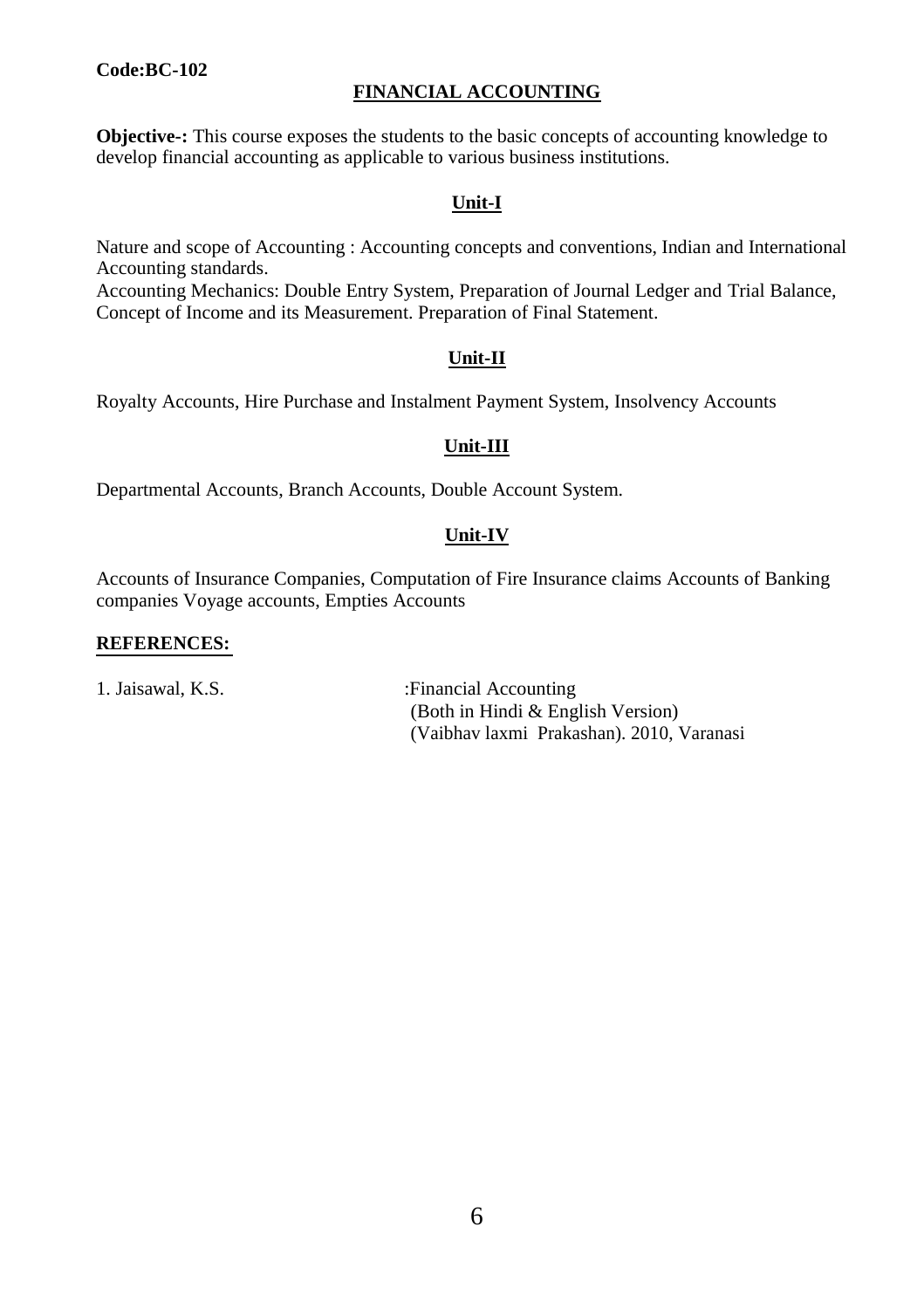# **Code:BC-102**

# **FINANCIAL ACCOUNTING**

**Objective-:** This course exposes the students to the basic concepts of accounting knowledge to develop financial accounting as applicable to various business institutions.

# **Unit-I**

Nature and scope of Accounting : Accounting concepts and conventions, Indian and International Accounting standards.

Accounting Mechanics: Double Entry System, Preparation of Journal Ledger and Trial Balance, Concept of Income and its Measurement. Preparation of Final Statement.

#### **Unit-II**

Royalty Accounts, Hire Purchase and Instalment Payment System, Insolvency Accounts

# **Unit-III**

Departmental Accounts, Branch Accounts, Double Account System.

# **Unit-IV**

Accounts of Insurance Companies, Computation of Fire Insurance claims Accounts of Banking companies Voyage accounts, Empties Accounts

#### **REFERENCES:**

1. Jaisawal, K.S. : Financial Accounting (Both in Hindi & English Version) (Vaibhav laxmi Prakashan). 2010, Varanasi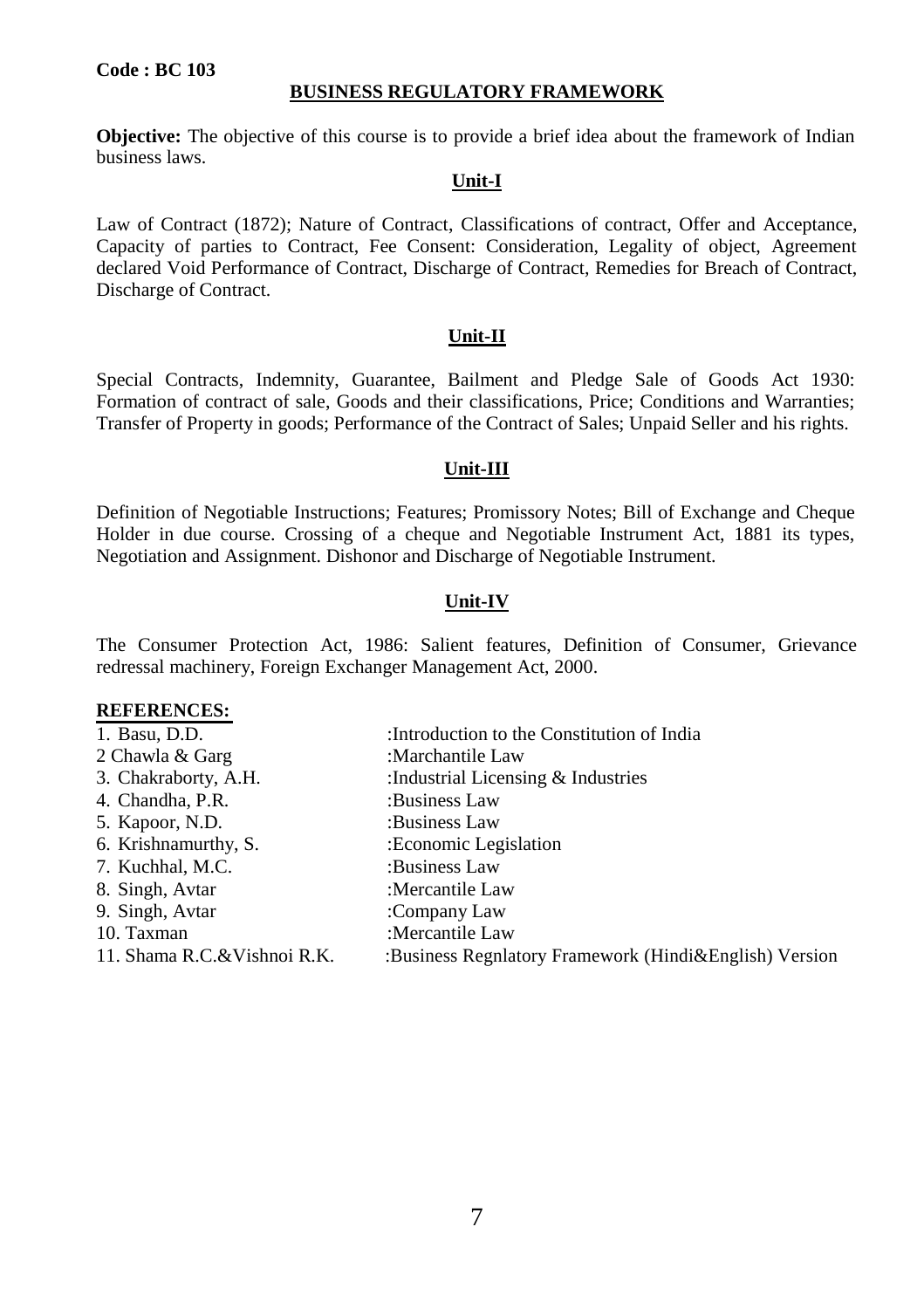#### **BUSINESS REGULATORY FRAMEWORK**

**Objective:** The objective of this course is to provide a brief idea about the framework of Indian business laws.

# **Unit-I**

Law of Contract (1872); Nature of Contract, Classifications of contract, Offer and Acceptance, Capacity of parties to Contract, Fee Consent: Consideration, Legality of object, Agreement declared Void Performance of Contract, Discharge of Contract, Remedies for Breach of Contract, Discharge of Contract.

#### **Unit-II**

Special Contracts, Indemnity, Guarantee, Bailment and Pledge Sale of Goods Act 1930: Formation of contract of sale, Goods and their classifications, Price; Conditions and Warranties; Transfer of Property in goods; Performance of the Contract of Sales; Unpaid Seller and his rights.

#### **Unit-III**

Definition of Negotiable Instructions; Features; Promissory Notes; Bill of Exchange and Cheque Holder in due course. Crossing of a cheque and Negotiable Instrument Act, 1881 its types, Negotiation and Assignment. Dishonor and Discharge of Negotiable Instrument.

#### **Unit-IV**

The Consumer Protection Act, 1986: Salient features, Definition of Consumer, Grievance redressal machinery, Foreign Exchanger Management Act, 2000.

| 1. Basu, D.D.               | :Introduction to the Constitution of India             |
|-----------------------------|--------------------------------------------------------|
| 2 Chawla & Garg             | :Marchantile Law                                       |
| 3. Chakraborty, A.H.        | : Industrial Licensing $&$ Industries                  |
| 4. Chandha, P.R.            | :Business Law                                          |
| 5. Kapoor, N.D.             | :Business Law                                          |
| 6. Krishnamurthy, S.        | : Economic Legislation                                 |
| 7. Kuchhal, M.C.            | :Business Law                                          |
| 8. Singh, Avtar             | :Mercantile Law                                        |
| 9. Singh, Avtar             | :Company Law                                           |
| 10. Taxman                  | :Mercantile Law                                        |
| 11. Shama R.C.&Vishnoi R.K. | :Business Regnlatory Framework (Hindi&English) Version |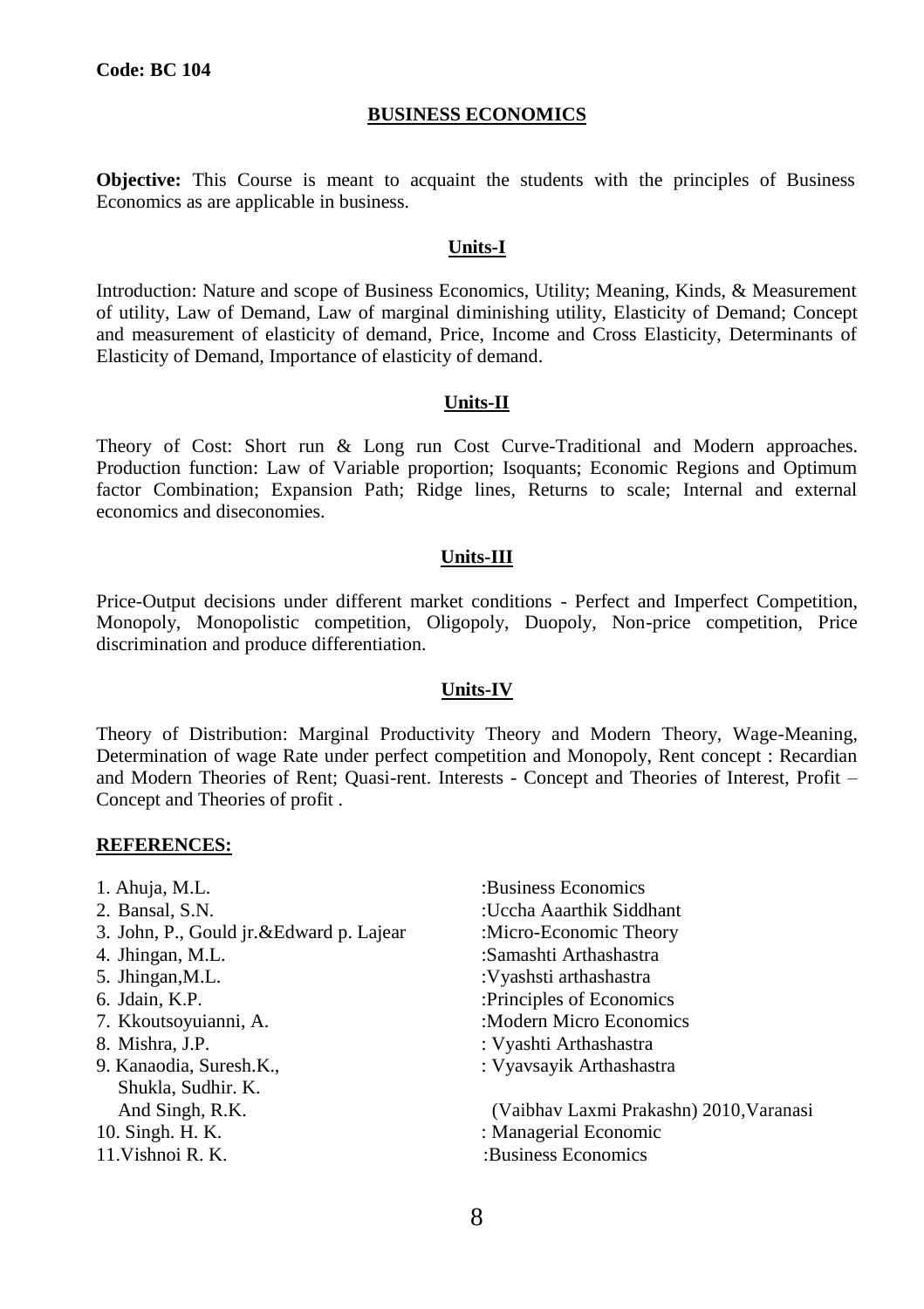#### **BUSINESS ECONOMICS**

**Objective:** This Course is meant to acquaint the students with the principles of Business Economics as are applicable in business.

#### **Units-I**

Introduction: Nature and scope of Business Economics, Utility; Meaning, Kinds, & Measurement of utility, Law of Demand, Law of marginal diminishing utility, Elasticity of Demand; Concept and measurement of elasticity of demand, Price, Income and Cross Elasticity, Determinants of Elasticity of Demand, Importance of elasticity of demand.

#### **Units-II**

Theory of Cost: Short run & Long run Cost Curve-Traditional and Modern approaches. Production function: Law of Variable proportion; Isoquants; Economic Regions and Optimum factor Combination; Expansion Path; Ridge lines, Returns to scale; Internal and external economics and diseconomies.

#### **Units-III**

Price-Output decisions under different market conditions - Perfect and Imperfect Competition, Monopoly, Monopolistic competition, Oligopoly, Duopoly, Non-price competition, Price discrimination and produce differentiation.

#### **Units-IV**

Theory of Distribution: Marginal Productivity Theory and Modern Theory, Wage-Meaning, Determination of wage Rate under perfect competition and Monopoly, Rent concept : Recardian and Modern Theories of Rent; Quasi-rent. Interests - Concept and Theories of Interest, Profit – Concept and Theories of profit .

#### **REFERENCES:**

- 1. Ahuja, M.L. : Business Economics 2. Bansal, S.N. : Uccha Aaarthik Siddhant 3. John, P., Gould jr. & Edward p. Lajear :Micro-Economic Theory 4. Jhingan, M.L. : Samashti Arthashastra 5. Jhingan,M.L. :Vyashsti arthashastra 6. Jdain, K.P. : Principles of Economics 7. Kkoutsoyuianni, A.  $\blacksquare$  :Modern Micro Economics 8. Mishra, J.P. : Vyashti Arthashastra 9. Kanaodia, Suresh.K., Twaxayik Arthashastra Shukla, Sudhir. K. And Singh, R.K. (Vaibhav Laxmi Prakashn) 2010,Varanasi 10. Singh. H. K. : Managerial Economic 11. Vishnoi R. K. : Susiness Economics
	-

8

- 
-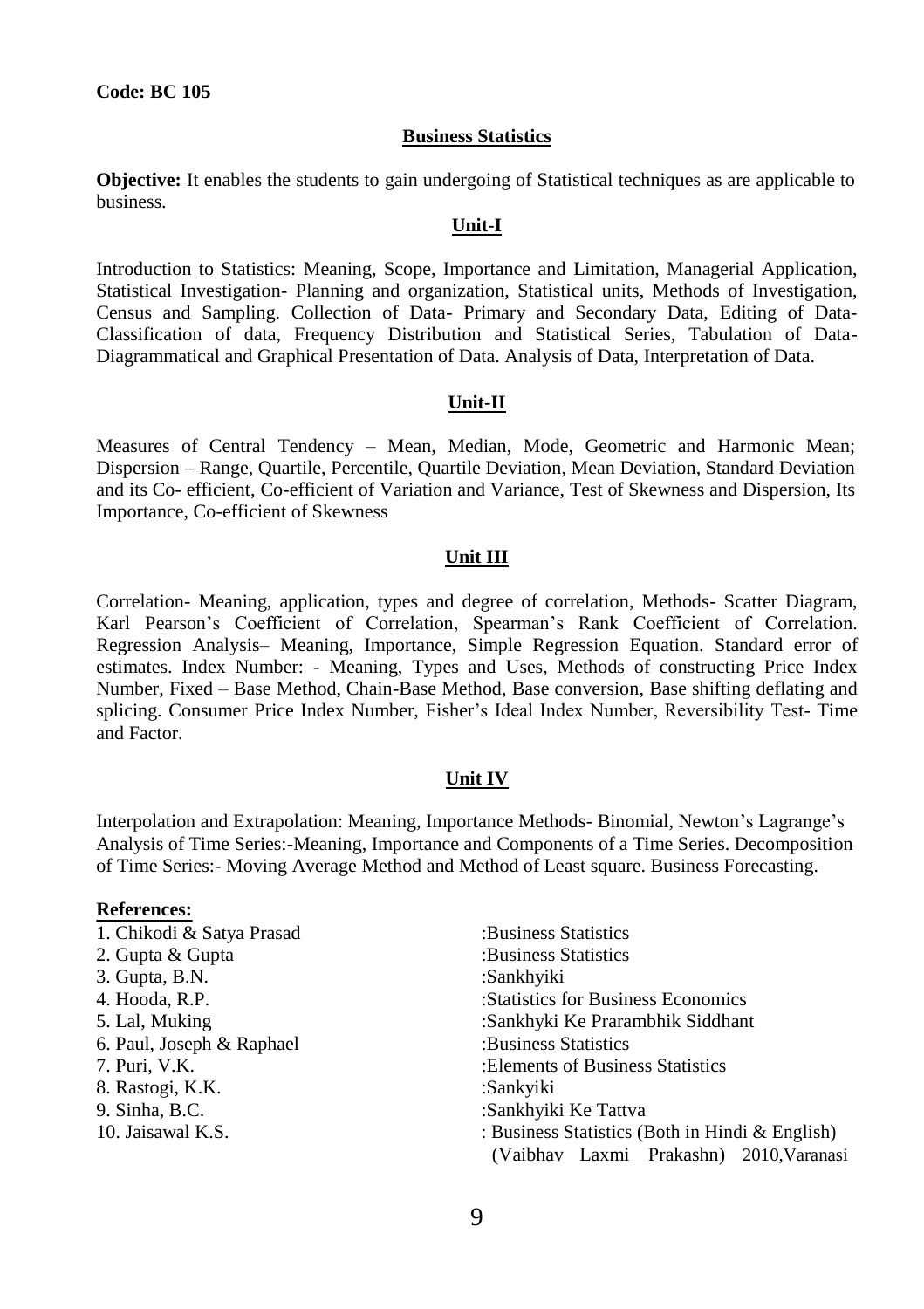#### **Business Statistics**

**Objective:** It enables the students to gain undergoing of Statistical techniques as are applicable to business.

#### **Unit-I**

Introduction to Statistics: Meaning, Scope, Importance and Limitation, Managerial Application, Statistical Investigation- Planning and organization, Statistical units, Methods of Investigation, Census and Sampling. Collection of Data- Primary and Secondary Data, Editing of Data-Classification of data, Frequency Distribution and Statistical Series, Tabulation of Data-Diagrammatical and Graphical Presentation of Data. Analysis of Data, Interpretation of Data.

#### **Unit-II**

Measures of Central Tendency – Mean, Median, Mode, Geometric and Harmonic Mean; Dispersion – Range, Quartile, Percentile, Quartile Deviation, Mean Deviation, Standard Deviation and its Co- efficient, Co-efficient of Variation and Variance, Test of Skewness and Dispersion, Its Importance, Co-efficient of Skewness

#### **Unit III**

Correlation- Meaning, application, types and degree of correlation, Methods- Scatter Diagram, Karl Pearson's Coefficient of Correlation, Spearman's Rank Coefficient of Correlation. Regression Analysis– Meaning, Importance, Simple Regression Equation. Standard error of estimates. Index Number: - Meaning, Types and Uses, Methods of constructing Price Index Number, Fixed – Base Method, Chain-Base Method, Base conversion, Base shifting deflating and splicing. Consumer Price Index Number, Fisher's Ideal Index Number, Reversibility Test- Time and Factor.

#### **Unit IV**

Interpolation and Extrapolation: Meaning, Importance Methods- Binomial, Newton's Lagrange's Analysis of Time Series:-Meaning, Importance and Components of a Time Series. Decomposition of Time Series:- Moving Average Method and Method of Least square. Business Forecasting.

#### **References:**

| 1. Chikodi & Satya Prasad | :Business Statistics                            |
|---------------------------|-------------------------------------------------|
|                           |                                                 |
| 2. Gupta & Gupta          | :Business Statistics                            |
| 3. Gupta, B.N.            | :Sankhyiki                                      |
| 4. Hooda, R.P.            | : Statistics for Business Economics             |
| 5. Lal, Muking            | :Sankhyki Ke Prarambhik Siddhant                |
| 6. Paul, Joseph & Raphael | :Business Statistics                            |
| 7. Puri, V.K.             | : Elements of Business Statistics               |
| 8. Rastogi, K.K.          | :Sankyiki                                       |
| 9. Sinha, B.C.            | :Sankhyiki Ke Tattva                            |
| 10. Jaisawal K.S.         | : Business Statistics (Both in Hindi & English) |
|                           | (Vaibhav Laxmi Prakashn) 2010, Varanasi         |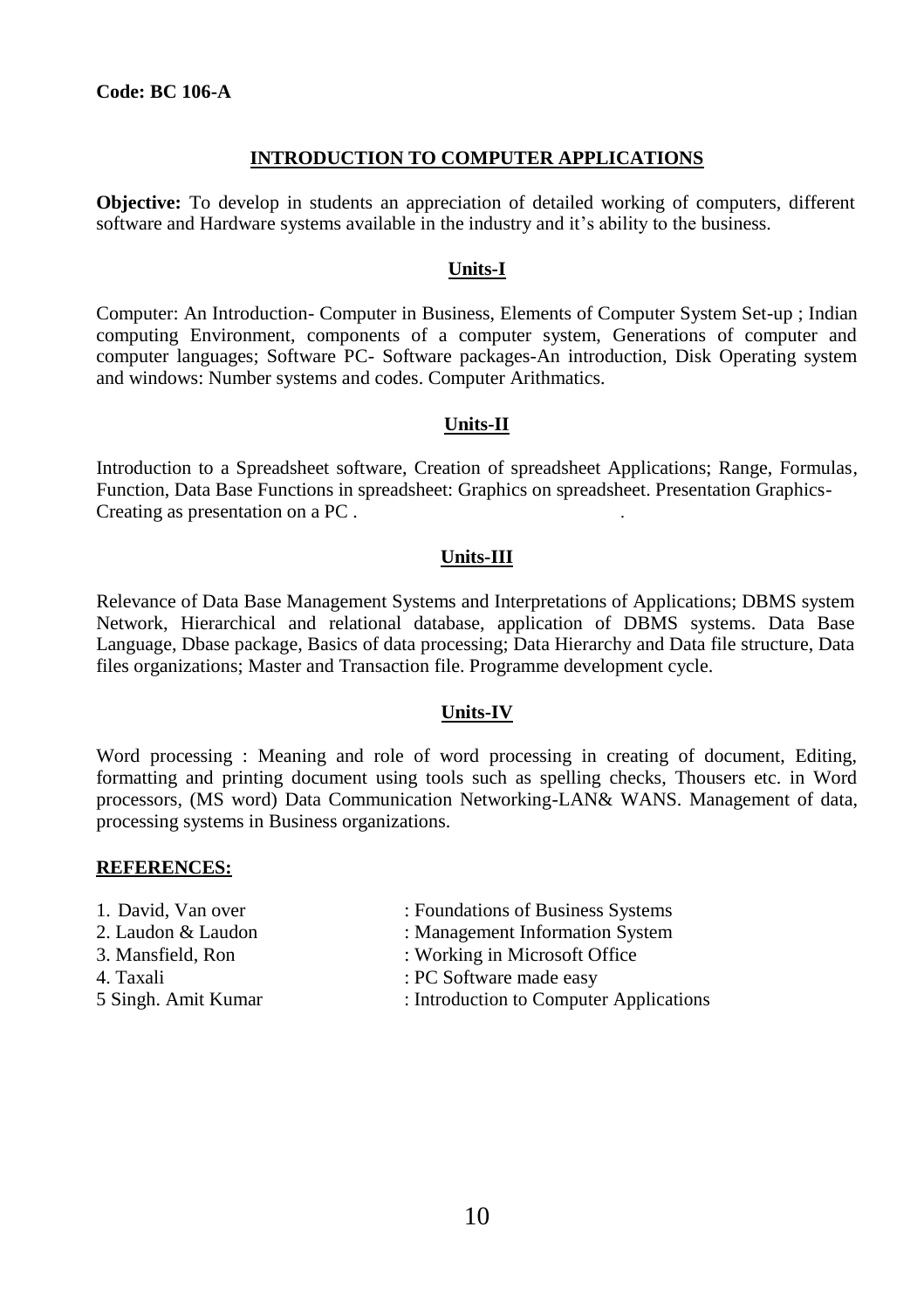# **INTRODUCTION TO COMPUTER APPLICATIONS**

**Objective:** To develop in students an appreciation of detailed working of computers, different software and Hardware systems available in the industry and it's ability to the business.

# **Units-I**

Computer: An Introduction- Computer in Business, Elements of Computer System Set-up ; Indian computing Environment, components of a computer system, Generations of computer and computer languages; Software PC- Software packages-An introduction, Disk Operating system and windows: Number systems and codes. Computer Arithmatics.

#### **Units-II**

Introduction to a Spreadsheet software, Creation of spreadsheet Applications; Range, Formulas, Function, Data Base Functions in spreadsheet: Graphics on spreadsheet. Presentation Graphics-Creating as presentation on a PC . .

# **Units-III**

Relevance of Data Base Management Systems and Interpretations of Applications; DBMS system Network, Hierarchical and relational database, application of DBMS systems. Data Base Language, Dbase package, Basics of data processing; Data Hierarchy and Data file structure, Data files organizations; Master and Transaction file. Programme development cycle.

# **Units-IV**

Word processing : Meaning and role of word processing in creating of document, Editing, formatting and printing document using tools such as spelling checks, Thousers etc. in Word processors, (MS word) Data Communication Networking-LAN& WANS. Management of data, processing systems in Business organizations.

- 
- 
- 
- 
- 
- 1. David, Van over : Foundations of Business Systems
- 2. Laudon & Laudon : Management Information System
- 3. Mansfield, Ron : Working in Microsoft Office
- 4. Taxali : PC Software made easy
- 5 Singh. Amit Kumar : Introduction to Computer Applications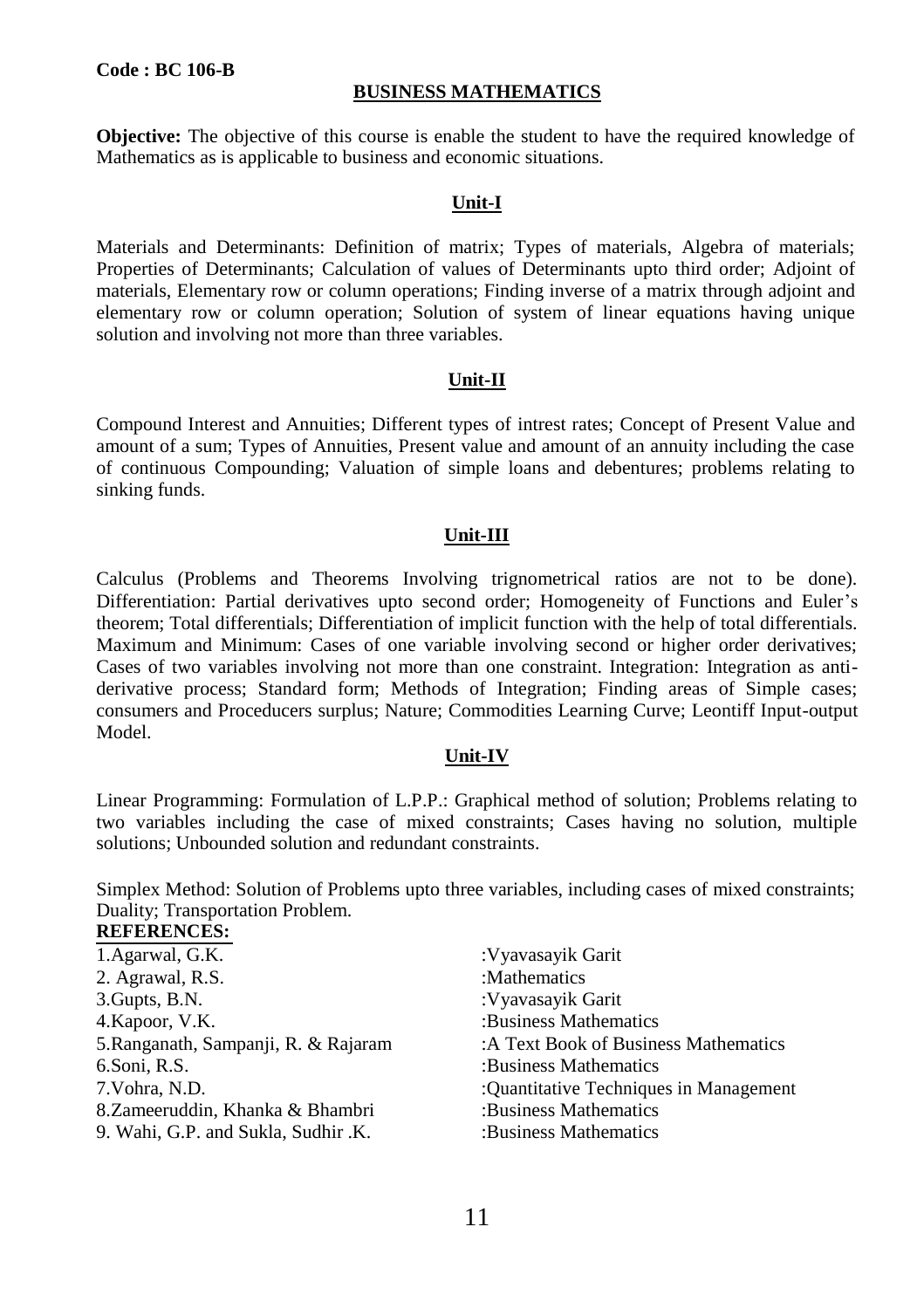#### **BUSINESS MATHEMATICS**

**Objective:** The objective of this course is enable the student to have the required knowledge of Mathematics as is applicable to business and economic situations.

# **Unit-I**

Materials and Determinants: Definition of matrix; Types of materials, Algebra of materials; Properties of Determinants; Calculation of values of Determinants upto third order; Adjoint of materials, Elementary row or column operations; Finding inverse of a matrix through adjoint and elementary row or column operation; Solution of system of linear equations having unique solution and involving not more than three variables.

#### **Unit-II**

Compound Interest and Annuities; Different types of intrest rates; Concept of Present Value and amount of a sum; Types of Annuities, Present value and amount of an annuity including the case of continuous Compounding; Valuation of simple loans and debentures; problems relating to sinking funds.

#### **Unit-III**

Calculus (Problems and Theorems Involving trignometrical ratios are not to be done). Differentiation: Partial derivatives upto second order; Homogeneity of Functions and Euler's theorem; Total differentials; Differentiation of implicit function with the help of total differentials. Maximum and Minimum: Cases of one variable involving second or higher order derivatives; Cases of two variables involving not more than one constraint. Integration: Integration as antiderivative process; Standard form; Methods of Integration; Finding areas of Simple cases; consumers and Proceducers surplus; Nature; Commodities Learning Curve; Leontiff Input-output Model.

#### **Unit-IV**

Linear Programming: Formulation of L.P.P.: Graphical method of solution; Problems relating to two variables including the case of mixed constraints; Cases having no solution, multiple solutions; Unbounded solution and redundant constraints.

Simplex Method: Solution of Problems upto three variables, including cases of mixed constraints; Duality; Transportation Problem.

| 1. Agarwal, G.K.                     | :Vyavasayik Garit                      |
|--------------------------------------|----------------------------------------|
| 2. Agrawal, R.S.                     | :Mathematics                           |
| 3. Gupts, B.N.                       | :Vyavasayik Garit                      |
| 4. Kapoor, V.K.                      | :Business Mathematics                  |
| 5. Ranganath, Sampanji, R. & Rajaram | :A Text Book of Business Mathematics   |
| 6.Soni, R.S.                         | :Business Mathematics                  |
| 7.Vohra, N.D.                        | :Quantitative Techniques in Management |
| 8. Zameeruddin, Khanka & Bhambri     | :Business Mathematics                  |
| 9. Wahi, G.P. and Sukla, Sudhir .K.  | :Business Mathematics                  |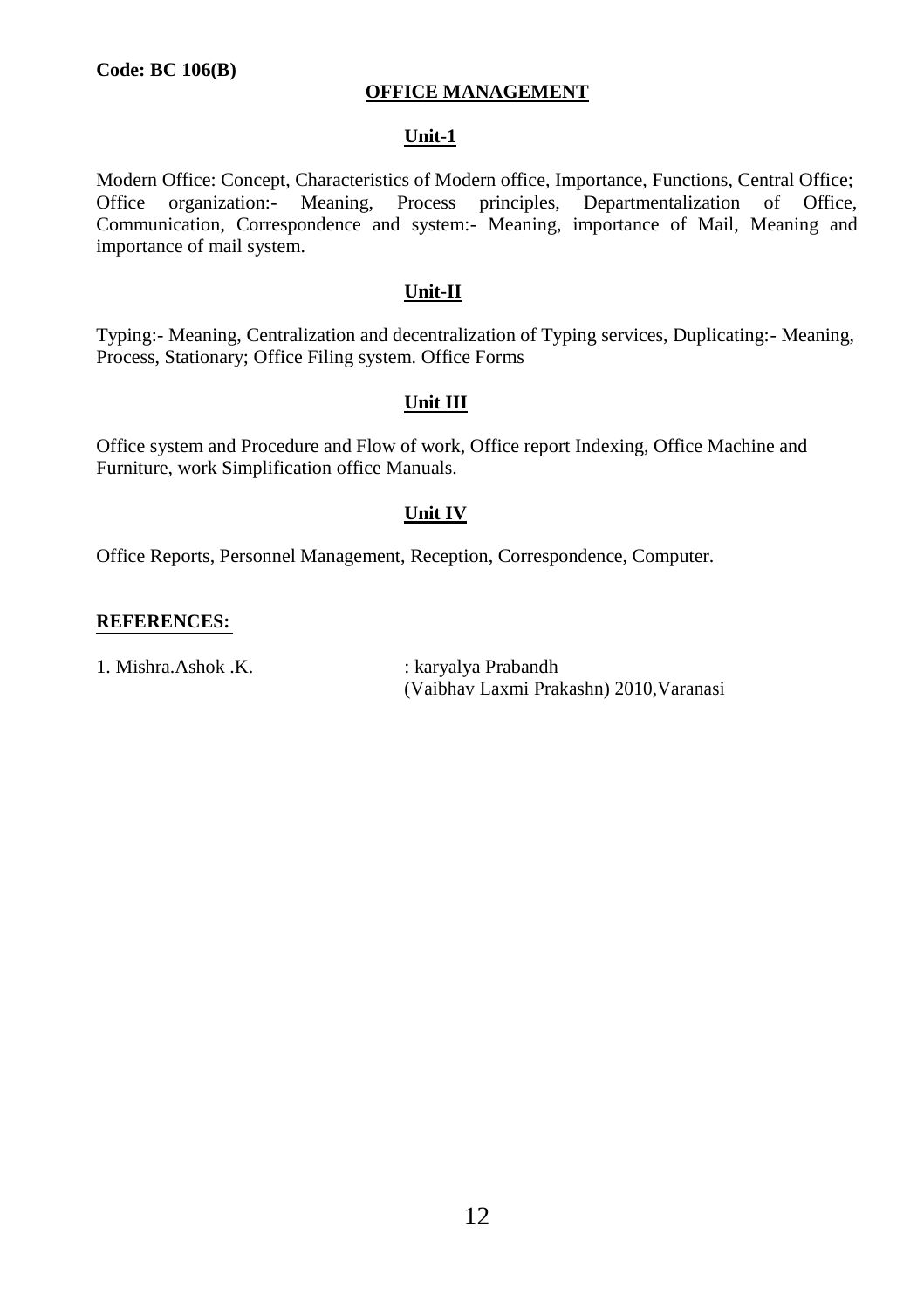# **OFFICE MANAGEMENT**

#### **Unit-1**

Modern Office: Concept, Characteristics of Modern office, Importance, Functions, Central Office; Office organization:- Meaning, Process principles, Departmentalization of Office, Communication, Correspondence and system:- Meaning, importance of Mail, Meaning and importance of mail system.

# **Unit-II**

Typing:- Meaning, Centralization and decentralization of Typing services, Duplicating:- Meaning, Process, Stationary; Office Filing system. Office Forms

#### **Unit III**

Office system and Procedure and Flow of work, Office report Indexing, Office Machine and Furniture, work Simplification office Manuals.

#### **Unit IV**

Office Reports, Personnel Management, Reception, Correspondence, Computer.

#### **REFERENCES:**

1. Mishra.Ashok .K. : karyalya Prabandh

(Vaibhav Laxmi Prakashn) 2010,Varanasi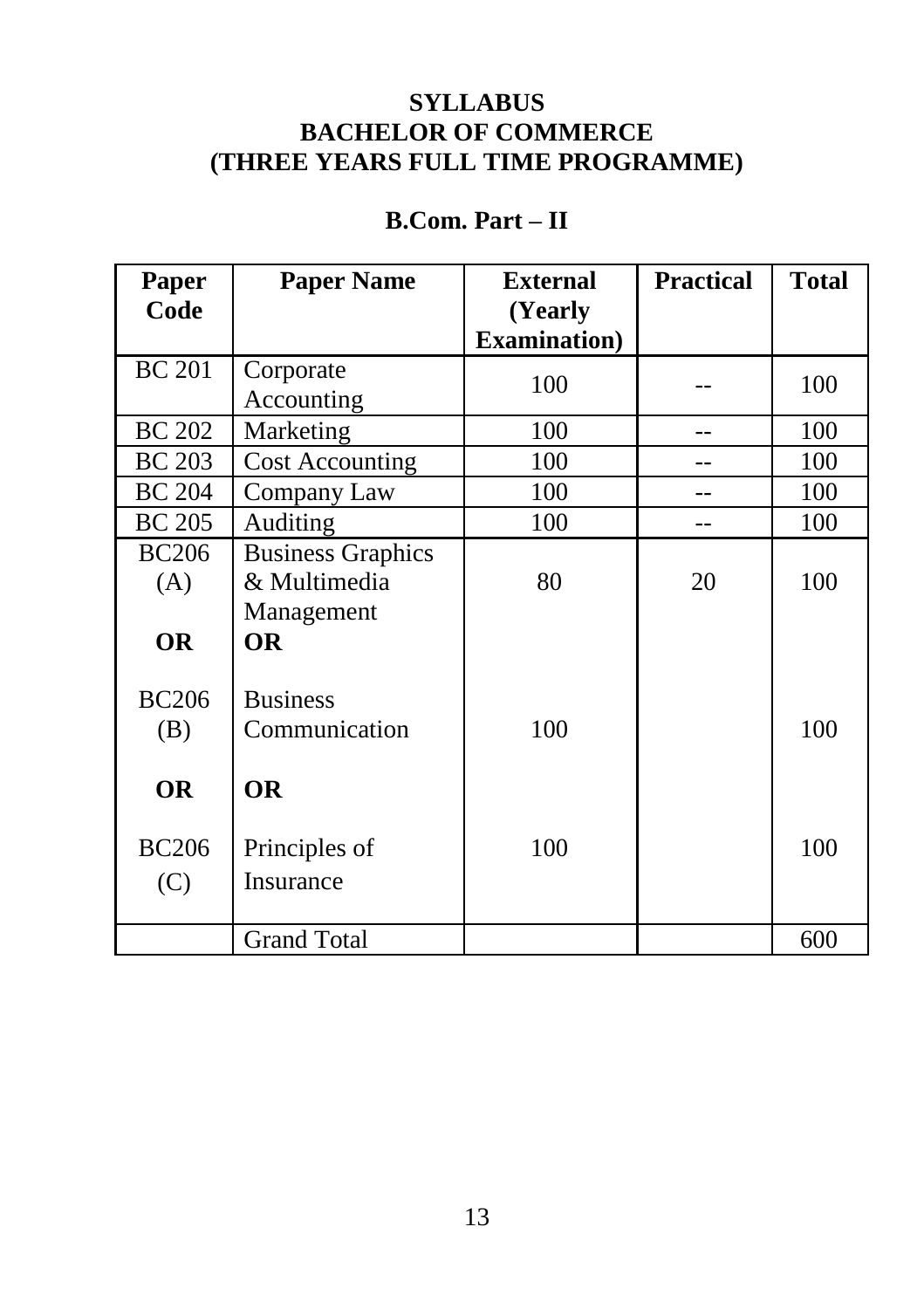# **SYLLABUS BACHELOR OF COMMERCE (THREE YEARS FULL TIME PROGRAMME)**

# **Paper Paper Name External Practical Total Code (Yearly Examination)**  $BC 201$  Corporate  $\begin{array}{|l|c|c|c|c|c|c|c|} \hline \text{Accounting} & 100 & - & 100 \ \hline \end{array}$ BC 202 Marketing 100 -- 100 BC 203 | Cost Accounting | 100 | -- | 100 BC 204 Company Law 100 -- 100 BC 205 Auditing 100 -- 100 BC206 Business Graphics (A)  $\&$  Multimedia  $\left| 80 \right| 20$  100 Management **OR OR** BC206 Business (B) Communication 100 100 100 **OR OR** BC206 Principles of 100 100 100 (C) Insurance Grand Total 600

# **B.Com. Part – II**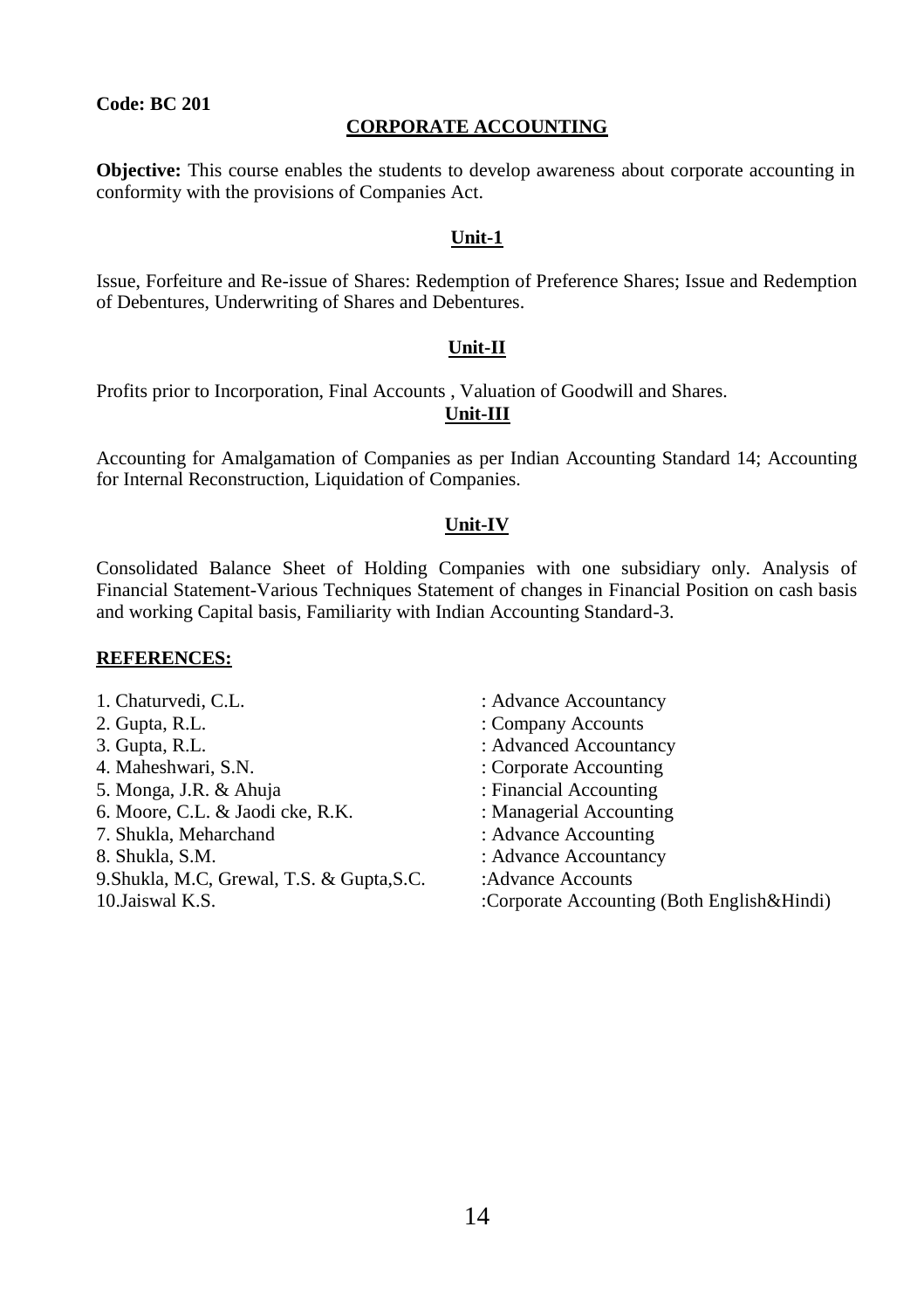#### **CORPORATE ACCOUNTING**

**Objective:** This course enables the students to develop awareness about corporate accounting in conformity with the provisions of Companies Act.

#### **Unit-1**

Issue, Forfeiture and Re-issue of Shares: Redemption of Preference Shares; Issue and Redemption of Debentures, Underwriting of Shares and Debentures.

#### **Unit-II**

Profits prior to Incorporation, Final Accounts , Valuation of Goodwill and Shares.

#### **Unit-III**

Accounting for Amalgamation of Companies as per Indian Accounting Standard 14; Accounting for Internal Reconstruction, Liquidation of Companies.

#### **Unit-IV**

Consolidated Balance Sheet of Holding Companies with one subsidiary only. Analysis of Financial Statement-Various Techniques Statement of changes in Financial Position on cash basis and working Capital basis, Familiarity with Indian Accounting Standard-3.

- 1. Chaturvedi, C.L. : Advance Accountancy 2. Gupta, R.L.  $\qquad \qquad$  : Company Accounts 3. Gupta, R.L. : Advanced Accountancy 4. Maheshwari, S.N. : Corporate Accounting 5. Monga, J.R. & Ahuja : Financial Accounting 6. Moore, C.L. & Jaodi cke, R.K. : Managerial Accounting 7. Shukla, Meharchand : Advance Accounting 8. Shukla, S.M. : Advance Accountancy 9. Shukla, M.C, Grewal, T.S. & Gupta, S.C. : Advance Accounts 10.Jaiswal K.S. :Corporate Accounting (Both English&Hindi)
	-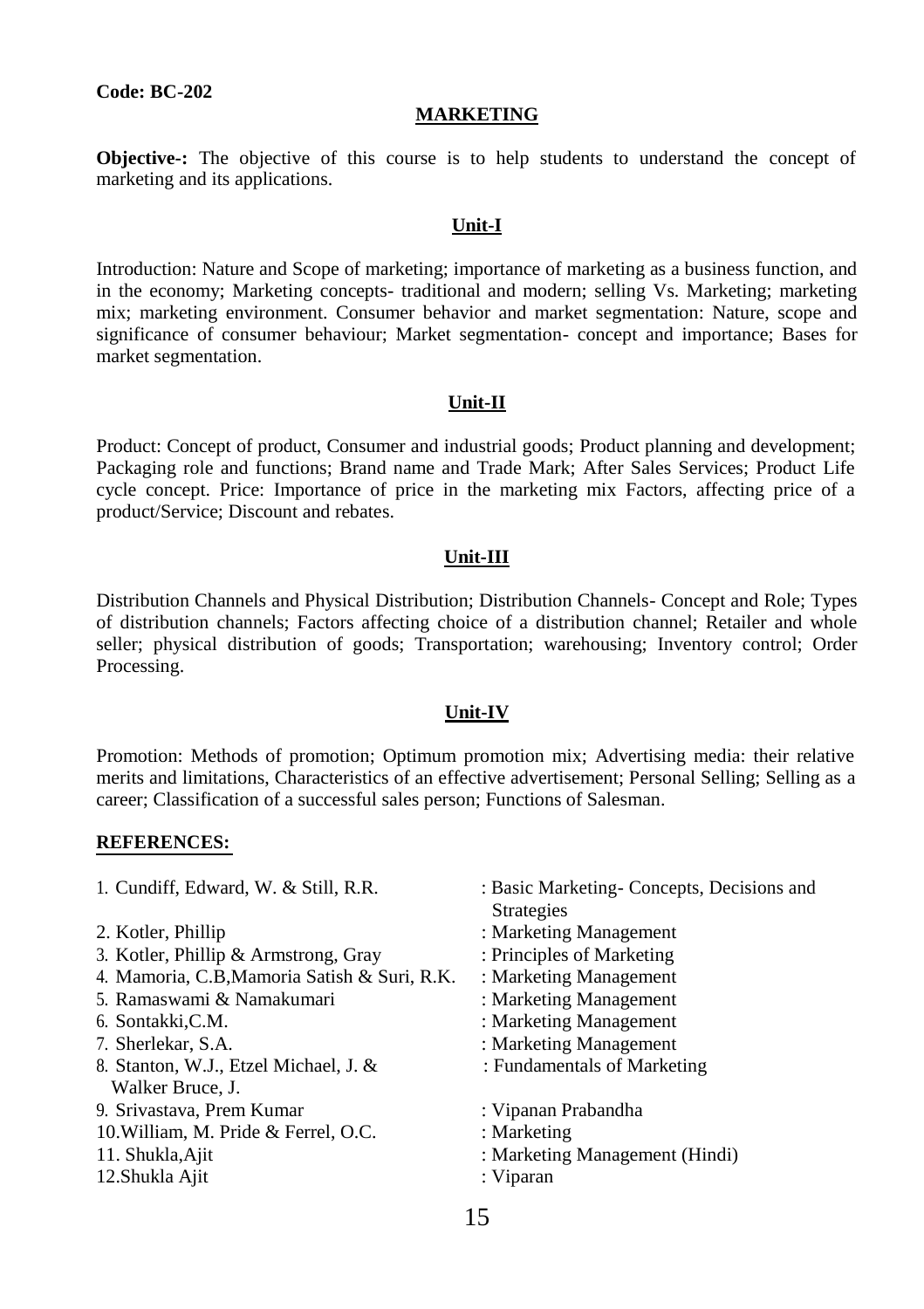#### **MARKETING**

**Objective-:** The objective of this course is to help students to understand the concept of marketing and its applications.

#### **Unit-I**

Introduction: Nature and Scope of marketing; importance of marketing as a business function, and in the economy; Marketing concepts- traditional and modern; selling Vs. Marketing; marketing mix; marketing environment. Consumer behavior and market segmentation: Nature, scope and significance of consumer behaviour; Market segmentation- concept and importance; Bases for market segmentation.

#### **Unit-II**

Product: Concept of product, Consumer and industrial goods; Product planning and development; Packaging role and functions; Brand name and Trade Mark; After Sales Services; Product Life cycle concept. Price: Importance of price in the marketing mix Factors, affecting price of a product/Service; Discount and rebates.

#### **Unit-III**

Distribution Channels and Physical Distribution; Distribution Channels- Concept and Role; Types of distribution channels; Factors affecting choice of a distribution channel; Retailer and whole seller; physical distribution of goods; Transportation; warehousing; Inventory control; Order Processing.

#### **Unit-IV**

Promotion: Methods of promotion; Optimum promotion mix; Advertising media: their relative merits and limitations, Characteristics of an effective advertisement; Personal Selling; Selling as a career; Classification of a successful sales person; Functions of Salesman.

| 1. Cundiff, Edward, W. & Still, R.R.         | : Basic Marketing-Concepts, Decisions and<br><b>Strategies</b> |
|----------------------------------------------|----------------------------------------------------------------|
| 2. Kotler, Phillip                           | : Marketing Management                                         |
| 3. Kotler, Phillip & Armstrong, Gray         | : Principles of Marketing                                      |
| 4. Mamoria, C.B, Mamoria Satish & Suri, R.K. | : Marketing Management                                         |
| 5. Ramaswami & Namakumari                    | : Marketing Management                                         |
| 6. Sontakki, C.M.                            | : Marketing Management                                         |
| 7. Sherlekar, S.A.                           | : Marketing Management                                         |
| 8. Stanton, W.J., Etzel Michael, J. &        | : Fundamentals of Marketing                                    |
| Walker Bruce, J.                             |                                                                |
| 9. Srivastava, Prem Kumar                    | : Vipanan Prabandha                                            |
| 10. William, M. Pride & Ferrel, O.C.         | : Marketing                                                    |
| 11. Shukla, Ajit                             | : Marketing Management (Hindi)                                 |
| 12. Shukla Ajit                              | : Viparan                                                      |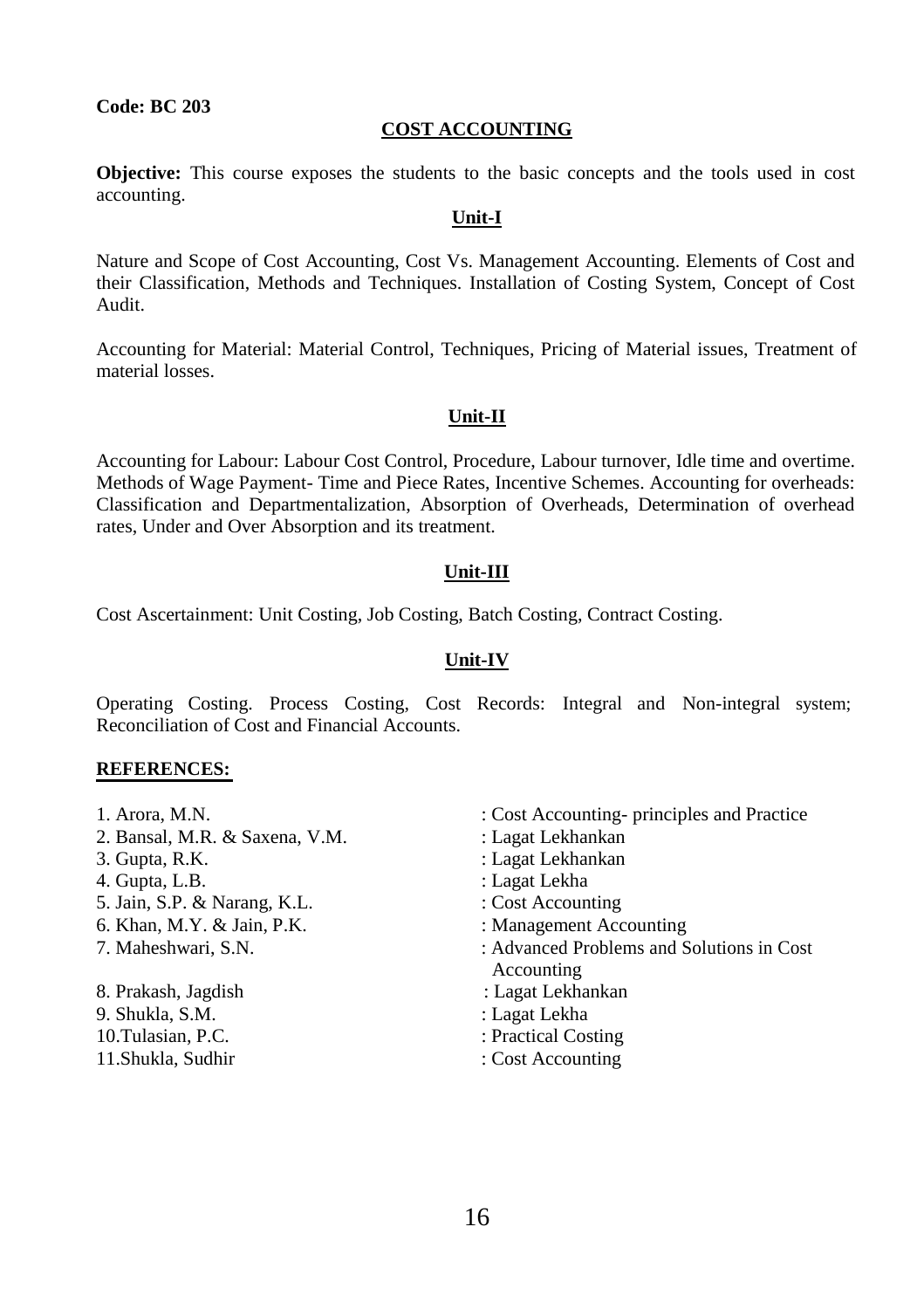#### **COST ACCOUNTING**

**Objective:** This course exposes the students to the basic concepts and the tools used in cost accounting.

#### **Unit-I**

Nature and Scope of Cost Accounting, Cost Vs. Management Accounting. Elements of Cost and their Classification, Methods and Techniques. Installation of Costing System, Concept of Cost Audit.

Accounting for Material: Material Control, Techniques, Pricing of Material issues, Treatment of material losses.

#### **Unit-II**

Accounting for Labour: Labour Cost Control, Procedure, Labour turnover, Idle time and overtime. Methods of Wage Payment- Time and Piece Rates, Incentive Schemes. Accounting for overheads: Classification and Departmentalization, Absorption of Overheads, Determination of overhead rates, Under and Over Absorption and its treatment.

#### **Unit-III**

Cost Ascertainment: Unit Costing, Job Costing, Batch Costing, Contract Costing.

# **Unit-IV**

Operating Costing. Process Costing, Cost Records: Integral and Non-integral system; Reconciliation of Cost and Financial Accounts.

| 1. Arora, M.N.                 | : Cost Accounting- principles and Practice |
|--------------------------------|--------------------------------------------|
| 2. Bansal, M.R. & Saxena, V.M. | : Lagat Lekhankan                          |
| 3. Gupta, R.K.                 | : Lagat Lekhankan                          |
| 4. Gupta, L.B.                 | : Lagat Lekha                              |
| 5. Jain, S.P. & Narang, K.L.   | : Cost Accounting                          |
| 6. Khan, M.Y. & Jain, P.K.     | : Management Accounting                    |
| 7. Maheshwari, S.N.            | : Advanced Problems and Solutions in Cost  |
|                                | Accounting                                 |
| 8. Prakash, Jagdish            | : Lagat Lekhankan                          |
| 9. Shukla, S.M.                | : Lagat Lekha                              |
| 10. Tulasian, P.C.             | : Practical Costing                        |
| 11.Shukla, Sudhir              | : Cost Accounting                          |
|                                |                                            |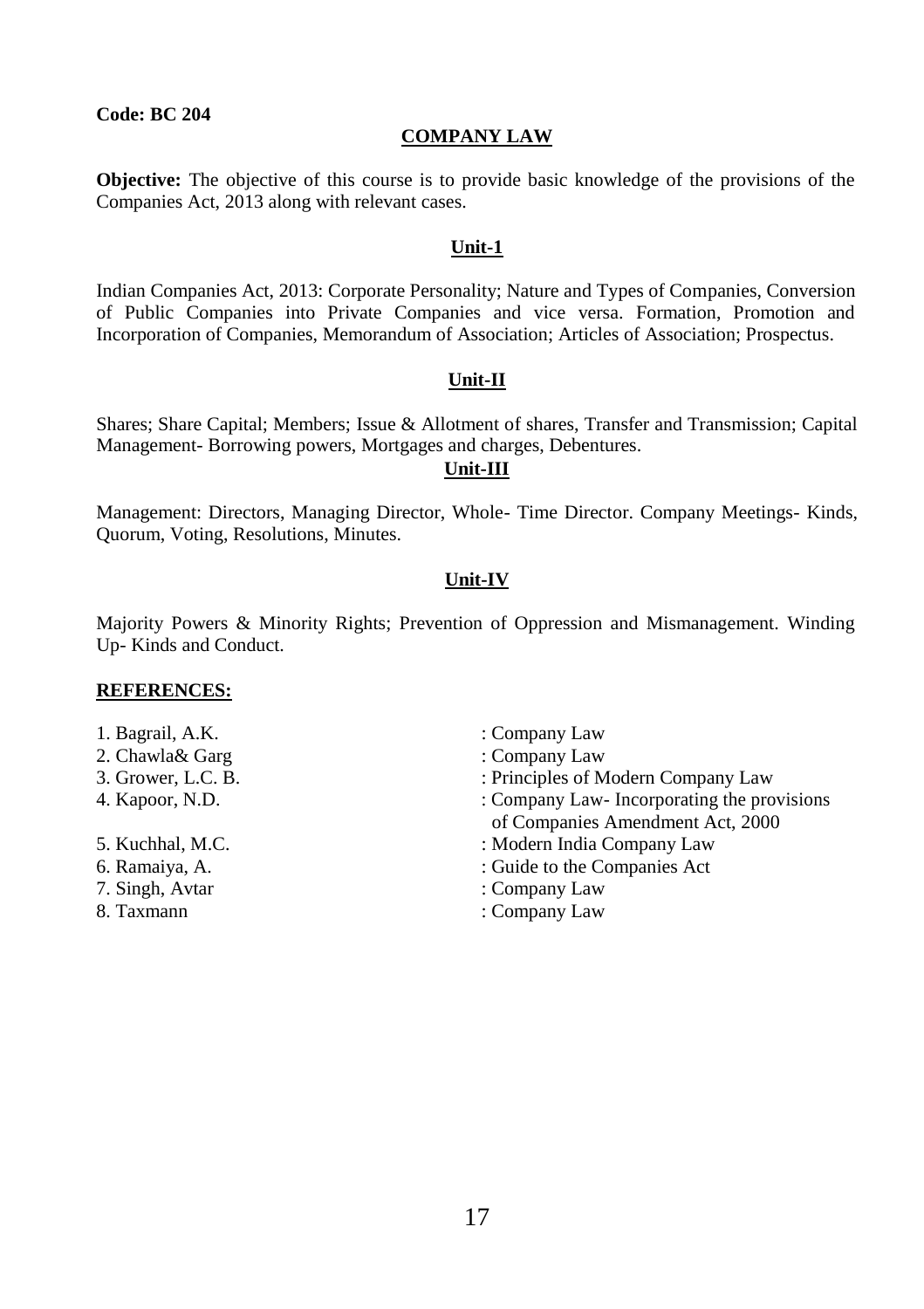# **COMPANY LAW**

**Objective:** The objective of this course is to provide basic knowledge of the provisions of the Companies Act, 2013 along with relevant cases.

# **Unit-1**

Indian Companies Act, 2013: Corporate Personality; Nature and Types of Companies, Conversion of Public Companies into Private Companies and vice versa. Formation, Promotion and Incorporation of Companies, Memorandum of Association; Articles of Association; Prospectus.

#### **Unit-II**

Shares; Share Capital; Members; Issue & Allotment of shares, Transfer and Transmission; Capital Management- Borrowing powers, Mortgages and charges, Debentures.

# **Unit-III**

Management: Directors, Managing Director, Whole- Time Director. Company Meetings- Kinds, Quorum, Voting, Resolutions, Minutes.

# **Unit-IV**

Majority Powers & Minority Rights; Prevention of Oppression and Mismanagement. Winding Up- Kinds and Conduct.

- 1. Bagrail, A.K. : Company Law
- 2. Chawla& Garg : Company Law
- 
- 
- 
- 
- 
- 
- 
- 
- 3. Grower, L.C. B. : Principles of Modern Company Law
- 4. Kapoor, N.D. : Company Law- Incorporating the provisions of Companies Amendment Act, 2000
- 5. Kuchhal, M.C. : Modern India Company Law
- 6. Ramaiya, A. : Guide to the Companies Act
- 7. Singh, Avtar : Company Law
- 8. Taxmann : Company Law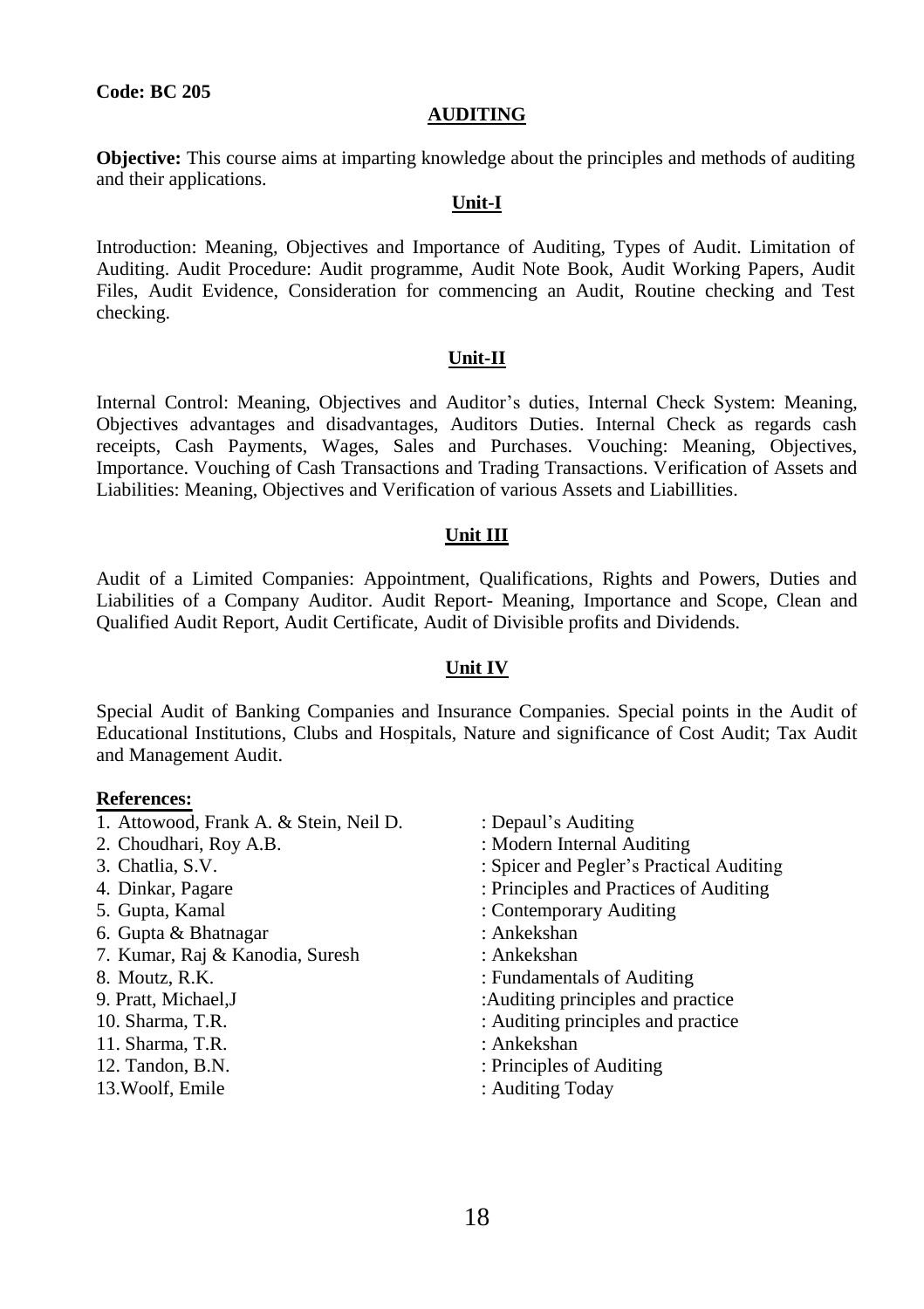#### **AUDITING**

**Objective:** This course aims at imparting knowledge about the principles and methods of auditing and their applications.

# **Unit-I**

Introduction: Meaning, Objectives and Importance of Auditing, Types of Audit. Limitation of Auditing. Audit Procedure: Audit programme, Audit Note Book, Audit Working Papers, Audit Files, Audit Evidence, Consideration for commencing an Audit, Routine checking and Test checking.

#### **Unit-II**

Internal Control: Meaning, Objectives and Auditor's duties, Internal Check System: Meaning, Objectives advantages and disadvantages, Auditors Duties. Internal Check as regards cash receipts, Cash Payments, Wages, Sales and Purchases. Vouching: Meaning, Objectives, Importance. Vouching of Cash Transactions and Trading Transactions. Verification of Assets and Liabilities: Meaning, Objectives and Verification of various Assets and Liabillities.

#### **Unit III**

Audit of a Limited Companies: Appointment, Qualifications, Rights and Powers, Duties and Liabilities of a Company Auditor. Audit Report- Meaning, Importance and Scope, Clean and Qualified Audit Report, Audit Certificate, Audit of Divisible profits and Dividends.

#### **Unit IV**

Special Audit of Banking Companies and Insurance Companies. Special points in the Audit of Educational Institutions, Clubs and Hospitals, Nature and significance of Cost Audit; Tax Audit and Management Audit.

#### **References:**

- 1. Attowood, Frank A. & Stein, Neil D. : Depaul's Auditing
- 
- 
- 
- 
- 6. Gupta & Bhatnagar : Ankekshan
- 7. Kumar, Raj & Kanodia, Suresh : Ankekshan
- 
- 
- 
- 11. Sharma, T.R. : Ankekshan
- 
- 13. Woolf, Emile : Auditing Today
- 
- 2. Choudhari, Roy A.B. : Modern Internal Auditing
- 3. Chatlia, S.V. : Spicer and Pegler's Practical Auditing
- 4. Dinkar, Pagare : Principles and Practices of Auditing
- 5. Gupta, Kamal : Contemporary Auditing
	-
	-
- 8. Moutz, R.K. : Fundamentals of Auditing
- 9. Pratt, Michael, J : Auditing principles and practice
- 10. Sharma, T.R.  $\qquad \qquad$  : Auditing principles and practice
	-
- 12. Tandon, B.N. : Principles of Auditing
	-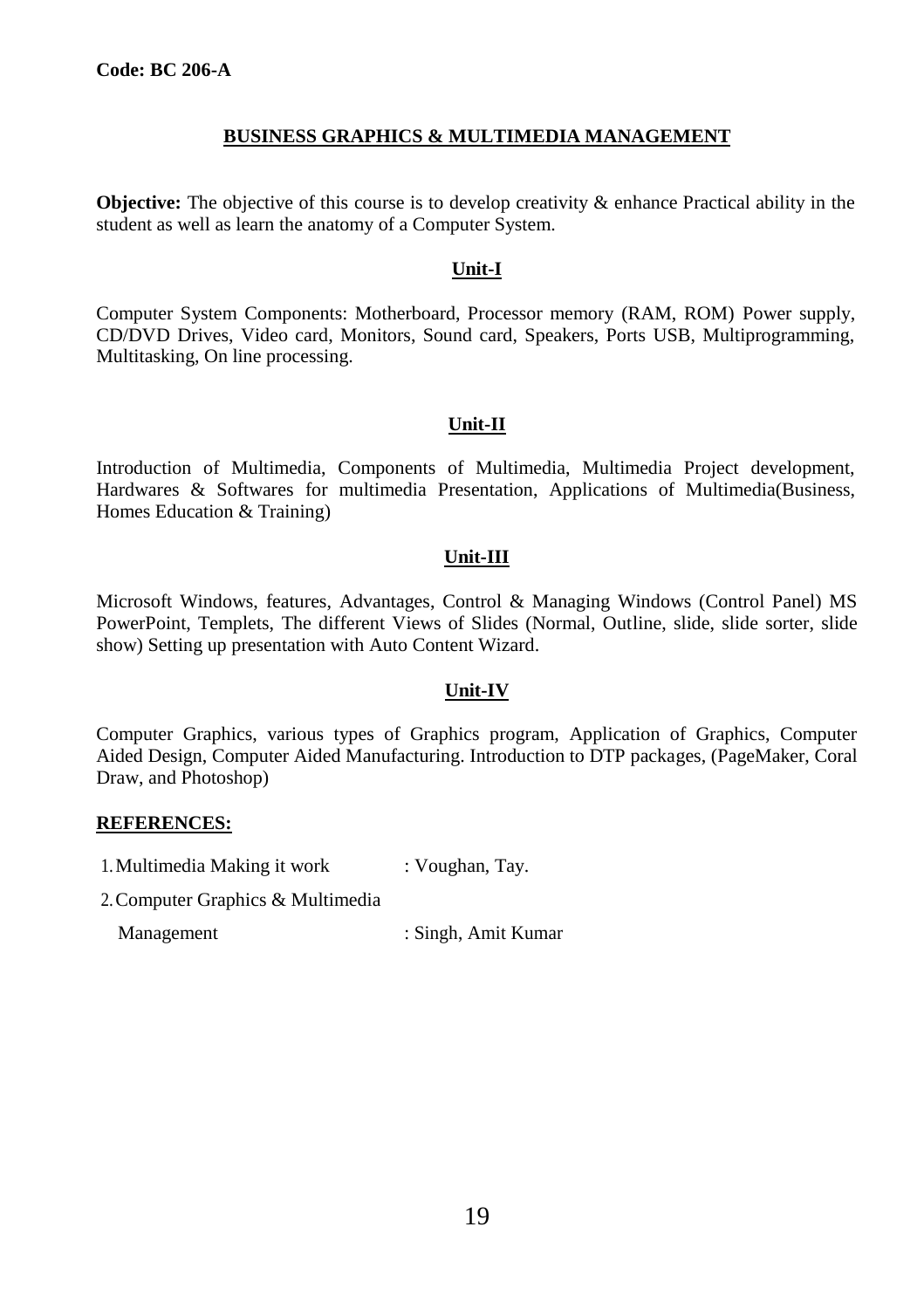# **BUSINESS GRAPHICS & MULTIMEDIA MANAGEMENT**

**Objective:** The objective of this course is to develop creativity & enhance Practical ability in the student as well as learn the anatomy of a Computer System.

# **Unit-I**

Computer System Components: Motherboard, Processor memory (RAM, ROM) Power supply, CD/DVD Drives, Video card, Monitors, Sound card, Speakers, Ports USB, Multiprogramming, Multitasking, On line processing.

# **Unit-II**

Introduction of Multimedia, Components of Multimedia, Multimedia Project development, Hardwares & Softwares for multimedia Presentation, Applications of Multimedia(Business, Homes Education & Training)

# **Unit-III**

Microsoft Windows, features, Advantages, Control & Managing Windows (Control Panel) MS PowerPoint, Templets, The different Views of Slides (Normal, Outline, slide, slide sorter, slide show) Setting up presentation with Auto Content Wizard.

# **Unit-IV**

Computer Graphics, various types of Graphics program, Application of Graphics, Computer Aided Design, Computer Aided Manufacturing. Introduction to DTP packages, (PageMaker, Coral Draw, and Photoshop)

#### **REFERENCES:**

1. Multimedia Making it work : Voughan, Tay.

2.Computer Graphics & Multimedia

Management : Singh, Amit Kumar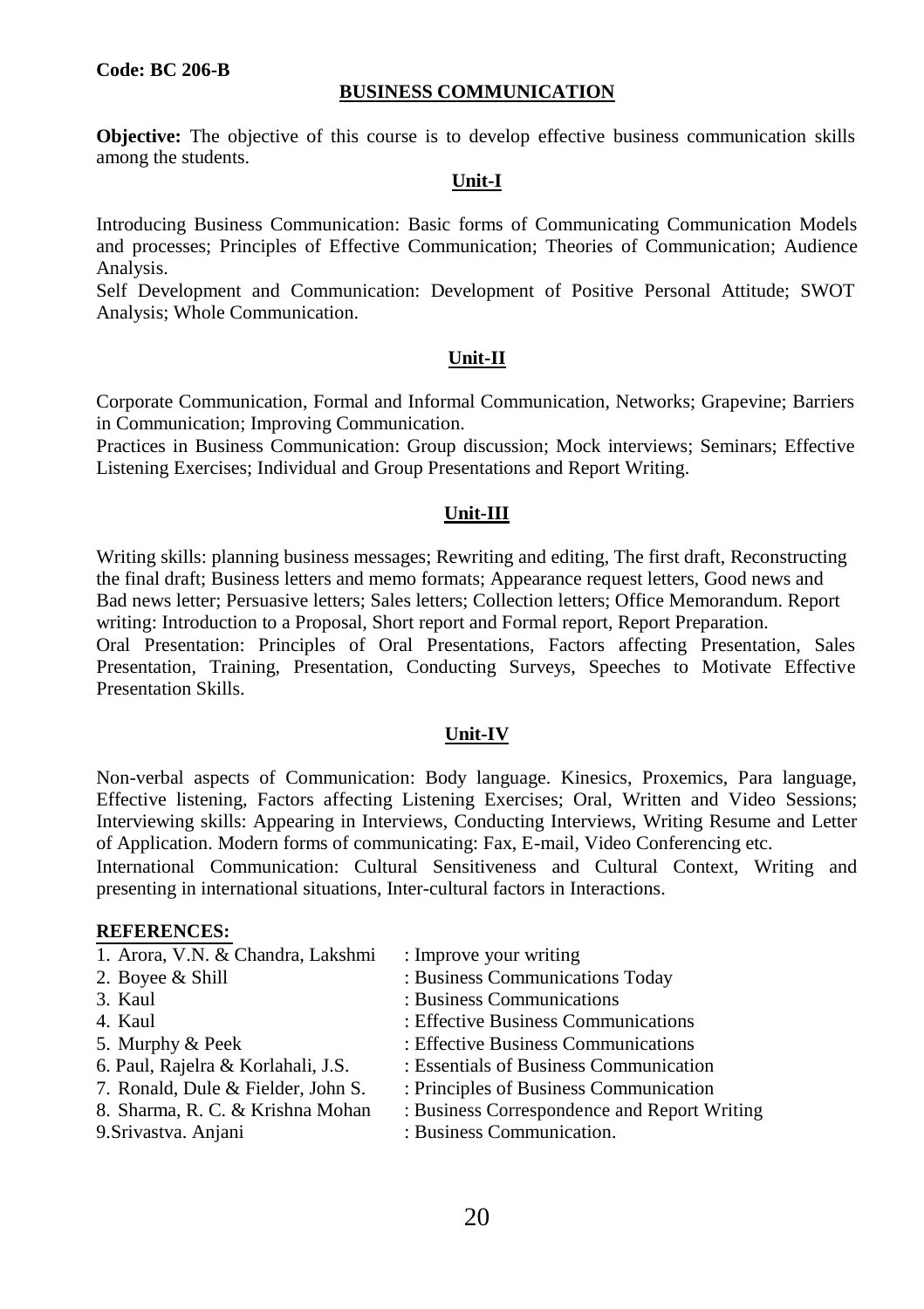#### **Code: BC 206-B**

#### **BUSINESS COMMUNICATION**

**Objective:** The objective of this course is to develop effective business communication skills among the students.

# **Unit-I**

Introducing Business Communication: Basic forms of Communicating Communication Models and processes; Principles of Effective Communication; Theories of Communication; Audience Analysis.

Self Development and Communication: Development of Positive Personal Attitude; SWOT Analysis; Whole Communication.

#### **Unit-II**

Corporate Communication, Formal and Informal Communication, Networks; Grapevine; Barriers in Communication; Improving Communication.

Practices in Business Communication: Group discussion; Mock interviews; Seminars; Effective Listening Exercises; Individual and Group Presentations and Report Writing.

#### **Unit-III**

Writing skills: planning business messages; Rewriting and editing, The first draft, Reconstructing the final draft; Business letters and memo formats; Appearance request letters, Good news and Bad news letter; Persuasive letters; Sales letters; Collection letters; Office Memorandum. Report writing: Introduction to a Proposal, Short report and Formal report, Report Preparation. Oral Presentation: Principles of Oral Presentations, Factors affecting Presentation, Sales

Presentation, Training, Presentation, Conducting Surveys, Speeches to Motivate Effective Presentation Skills.

### **Unit-IV**

Non-verbal aspects of Communication: Body language. Kinesics, Proxemics, Para language, Effective listening, Factors affecting Listening Exercises; Oral, Written and Video Sessions; Interviewing skills: Appearing in Interviews, Conducting Interviews, Writing Resume and Letter of Application. Modern forms of communicating: Fax, E-mail, Video Conferencing etc.

International Communication: Cultural Sensitiveness and Cultural Context, Writing and presenting in international situations, Inter-cultural factors in Interactions.

| 1. Arora, V.N. & Chandra, Lakshmi  | : Improve your writing                       |
|------------------------------------|----------------------------------------------|
| 2. Boyee & Shill                   | : Business Communications Today              |
| 3. Kaul                            | : Business Communications                    |
| 4. Kaul                            | : Effective Business Communications          |
| 5. Murphy & Peek                   | : Effective Business Communications          |
| 6. Paul, Rajelra & Korlahali, J.S. | : Essentials of Business Communication       |
| 7. Ronald, Dule & Fielder, John S. | : Principles of Business Communication       |
| 8. Sharma, R. C. & Krishna Mohan   | : Business Correspondence and Report Writing |
| 9. Srivastva. Anjani               | : Business Communication.                    |
|                                    |                                              |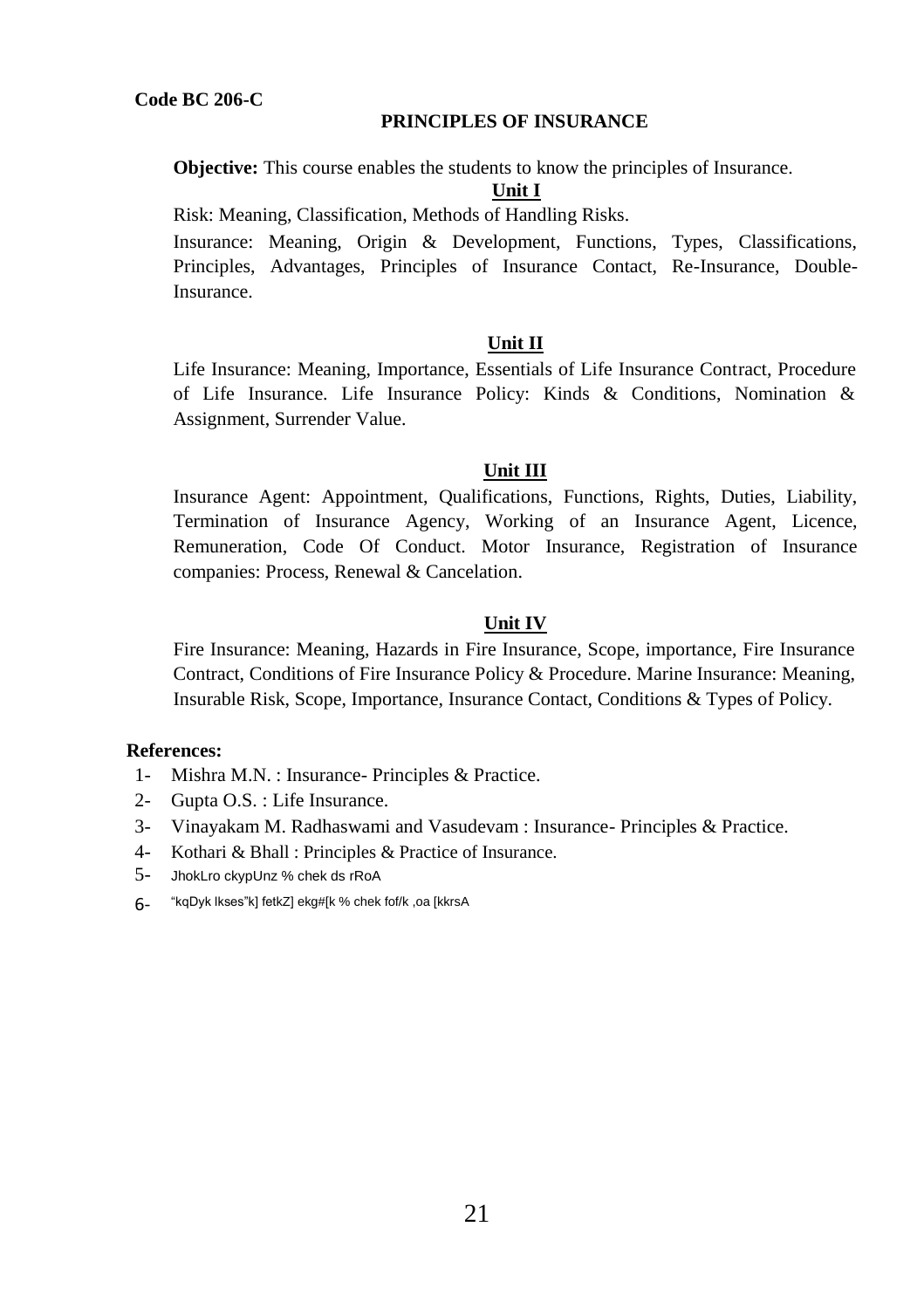#### **PRINCIPLES OF INSURANCE**

**Objective:** This course enables the students to know the principles of Insurance.

# **Unit I**

Risk: Meaning, Classification, Methods of Handling Risks.

Insurance: Meaning, Origin & Development, Functions, Types, Classifications, Principles, Advantages, Principles of Insurance Contact, Re-Insurance, Double-Insurance.

# **Unit II**

Life Insurance: Meaning, Importance, Essentials of Life Insurance Contract, Procedure of Life Insurance. Life Insurance Policy: Kinds & Conditions, Nomination & Assignment, Surrender Value.

# **Unit III**

Insurance Agent: Appointment, Qualifications, Functions, Rights, Duties, Liability, Termination of Insurance Agency, Working of an Insurance Agent, Licence, Remuneration, Code Of Conduct. Motor Insurance, Registration of Insurance companies: Process, Renewal & Cancelation.

# **Unit IV**

Fire Insurance: Meaning, Hazards in Fire Insurance, Scope, importance, Fire Insurance Contract, Conditions of Fire Insurance Policy & Procedure. Marine Insurance: Meaning, Insurable Risk, Scope, Importance, Insurance Contact, Conditions & Types of Policy.

# **References:**

- 1- Mishra M.N. : Insurance- Principles & Practice.
- 2- Gupta O.S. : Life Insurance.
- 3- Vinayakam M. Radhaswami and Vasudevam : Insurance- Principles & Practice.
- 4- Kothari & Bhall : Principles & Practice of Insurance.
- 5- JhokLro ckypUnz % chek ds rRoA
- 6- "kqDyk lkses"k] fetkZ] ekg#[k % chek fof/k ,oa [kkrsA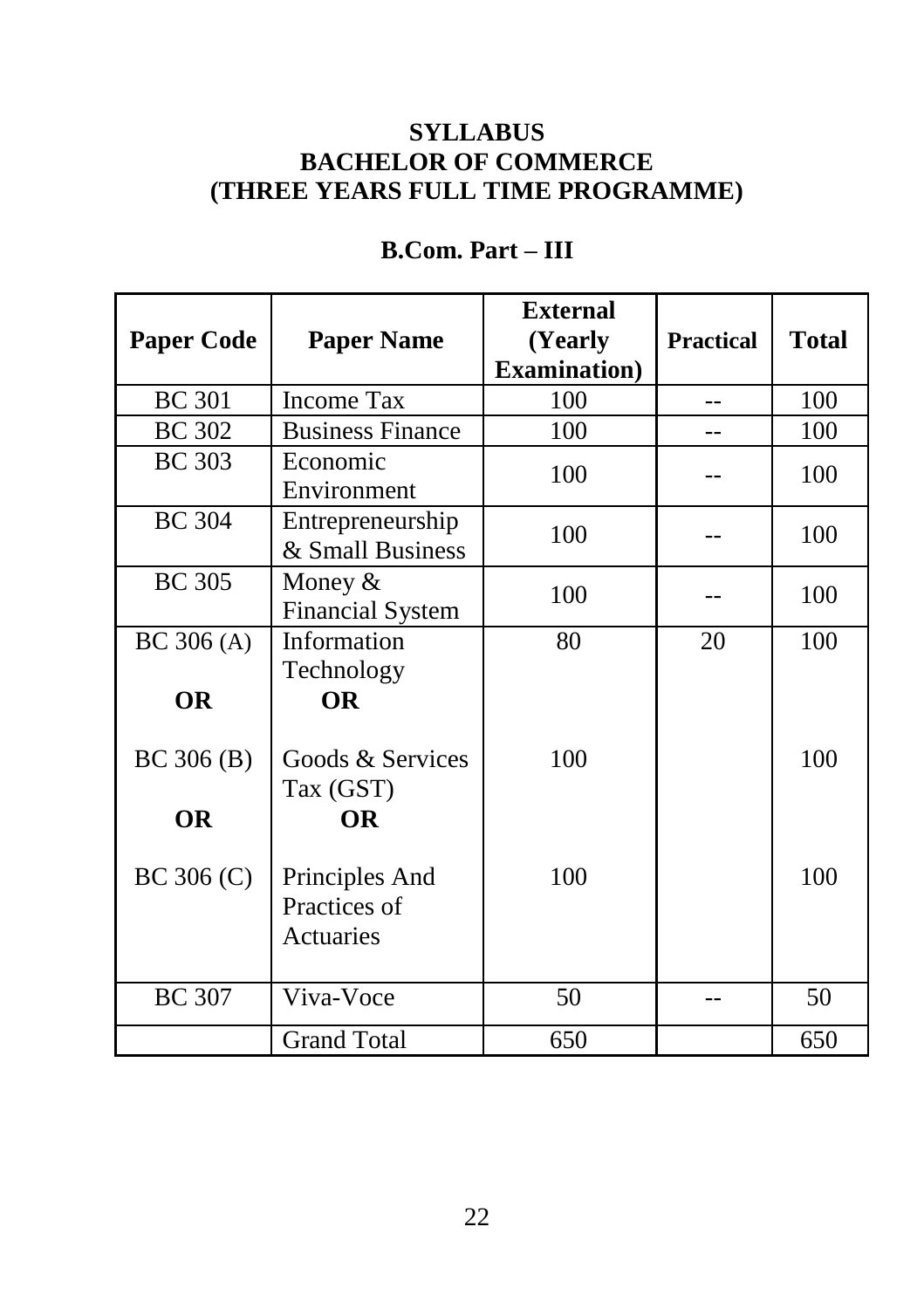# **SYLLABUS BACHELOR OF COMMERCE (THREE YEARS FULL TIME PROGRAMME)**

| <b>Paper Code</b> | <b>Paper Name</b>                           | <b>External</b><br>(Yearly<br><b>Examination</b> ) | <b>Practical</b> | <b>Total</b> |
|-------------------|---------------------------------------------|----------------------------------------------------|------------------|--------------|
| <b>BC</b> 301     | <b>Income Tax</b>                           | 100                                                | $-$              | 100          |
| <b>BC</b> 302     | <b>Business Finance</b>                     | 100                                                |                  | 100          |
| <b>BC</b> 303     | Economic<br>Environment                     | 100                                                |                  | 100          |
| <b>BC</b> 304     | Entrepreneurship<br>& Small Business        | 100                                                |                  | 100          |
| <b>BC</b> 305     | Money $&$<br><b>Financial System</b>        | 100                                                |                  | 100          |
| BC $306(A)$       | Information<br>Technology                   | 80                                                 | 20               | 100          |
| <b>OR</b>         | <b>OR</b>                                   |                                                    |                  |              |
| BC 306 (B)        | Goods & Services<br>Tax (GST)               | 100                                                |                  | 100          |
| <b>OR</b>         | <b>OR</b>                                   |                                                    |                  |              |
| $BC$ 306 $(C)$    | Principles And<br>Practices of<br>Actuaries | 100                                                |                  | 100          |
| <b>BC</b> 307     | Viva-Voce                                   | 50                                                 |                  | 50           |
|                   | <b>Grand Total</b>                          | 650                                                |                  | 650          |

# **B.Com. Part – III**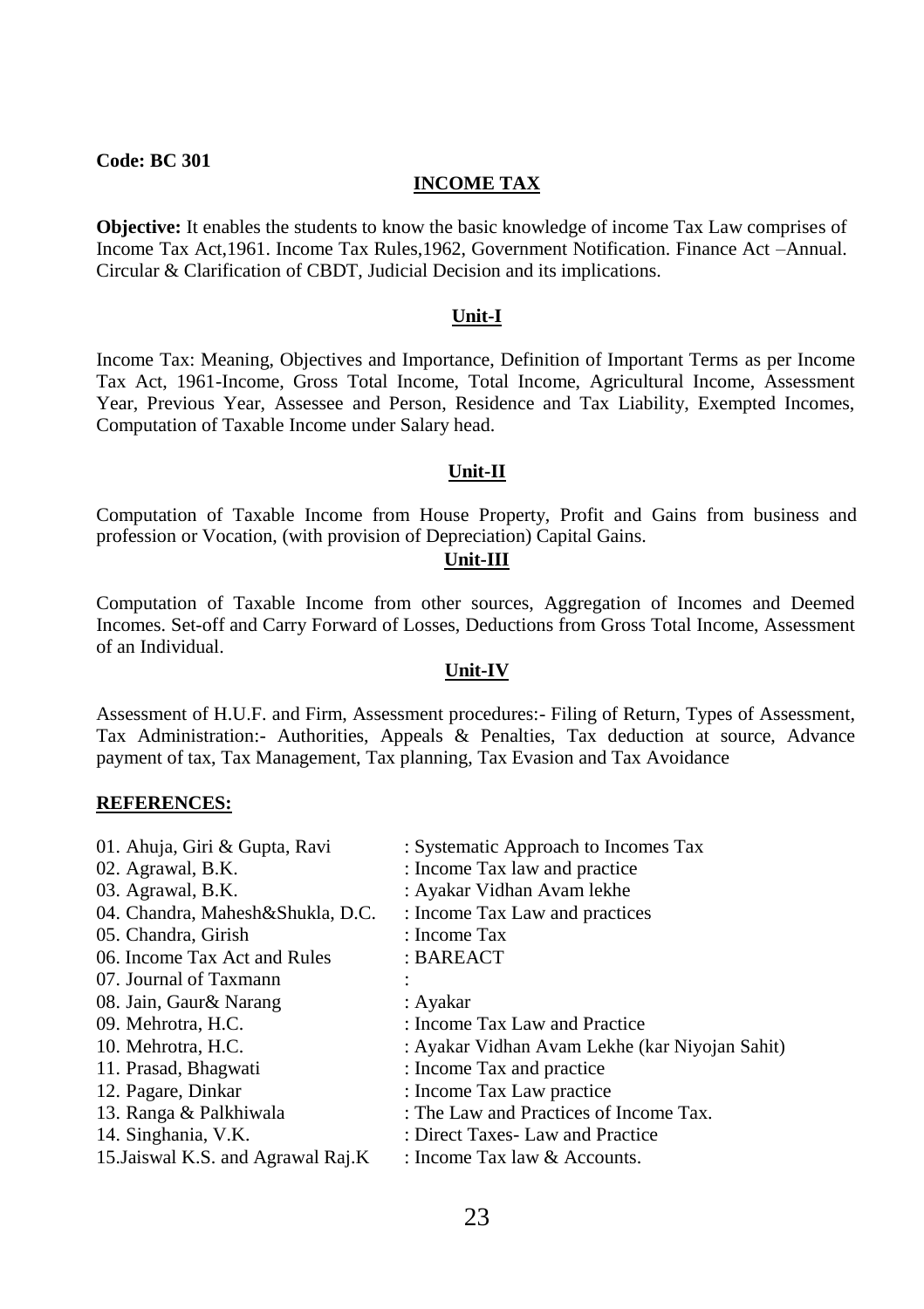#### **INCOME TAX**

**Objective:** It enables the students to know the basic knowledge of income Tax Law comprises of Income Tax Act,1961. Income Tax Rules,1962, Government Notification. Finance Act –Annual. Circular & Clarification of CBDT, Judicial Decision and its implications.

#### **Unit-I**

Income Tax: Meaning, Objectives and Importance, Definition of Important Terms as per Income Tax Act, 1961-Income, Gross Total Income, Total Income, Agricultural Income, Assessment Year, Previous Year, Assessee and Person, Residence and Tax Liability, Exempted Incomes, Computation of Taxable Income under Salary head.

#### **Unit-II**

Computation of Taxable Income from House Property, Profit and Gains from business and profession or Vocation, (with provision of Depreciation) Capital Gains.

#### **Unit-III**

Computation of Taxable Income from other sources, Aggregation of Incomes and Deemed Incomes. Set-off and Carry Forward of Losses, Deductions from Gross Total Income, Assessment of an Individual.

#### **Unit-IV**

Assessment of H.U.F. and Firm, Assessment procedures:- Filing of Return, Types of Assessment, Tax Administration:- Authorities, Appeals & Penalties, Tax deduction at source, Advance payment of tax, Tax Management, Tax planning, Tax Evasion and Tax Avoidance

| 01. Ahuja, Giri & Gupta, Ravi      | : Systematic Approach to Incomes Tax           |
|------------------------------------|------------------------------------------------|
| 02. Agrawal, B.K.                  | : Income Tax law and practice                  |
| 03. Agrawal, B.K.                  | : Ayakar Vidhan Avam lekhe                     |
| 04. Chandra, Mahesh&Shukla, D.C.   | : Income Tax Law and practices                 |
| 05. Chandra, Girish                | : Income Tax                                   |
| 06. Income Tax Act and Rules       | : BAREACT                                      |
| 07. Journal of Taxmann             |                                                |
| 08. Jain, Gaur& Narang             | : Ayakar                                       |
| 09. Mehrotra, H.C.                 | : Income Tax Law and Practice                  |
| 10. Mehrotra, H.C.                 | : Ayakar Vidhan Avam Lekhe (kar Niyojan Sahit) |
| 11. Prasad, Bhagwati               | : Income Tax and practice                      |
| 12. Pagare, Dinkar                 | : Income Tax Law practice                      |
| 13. Ranga & Palkhiwala             | : The Law and Practices of Income Tax.         |
| 14. Singhania, V.K.                | : Direct Taxes- Law and Practice               |
| 15. Jaiswal K.S. and Agrawal Raj.K | : Income Tax law & Accounts.                   |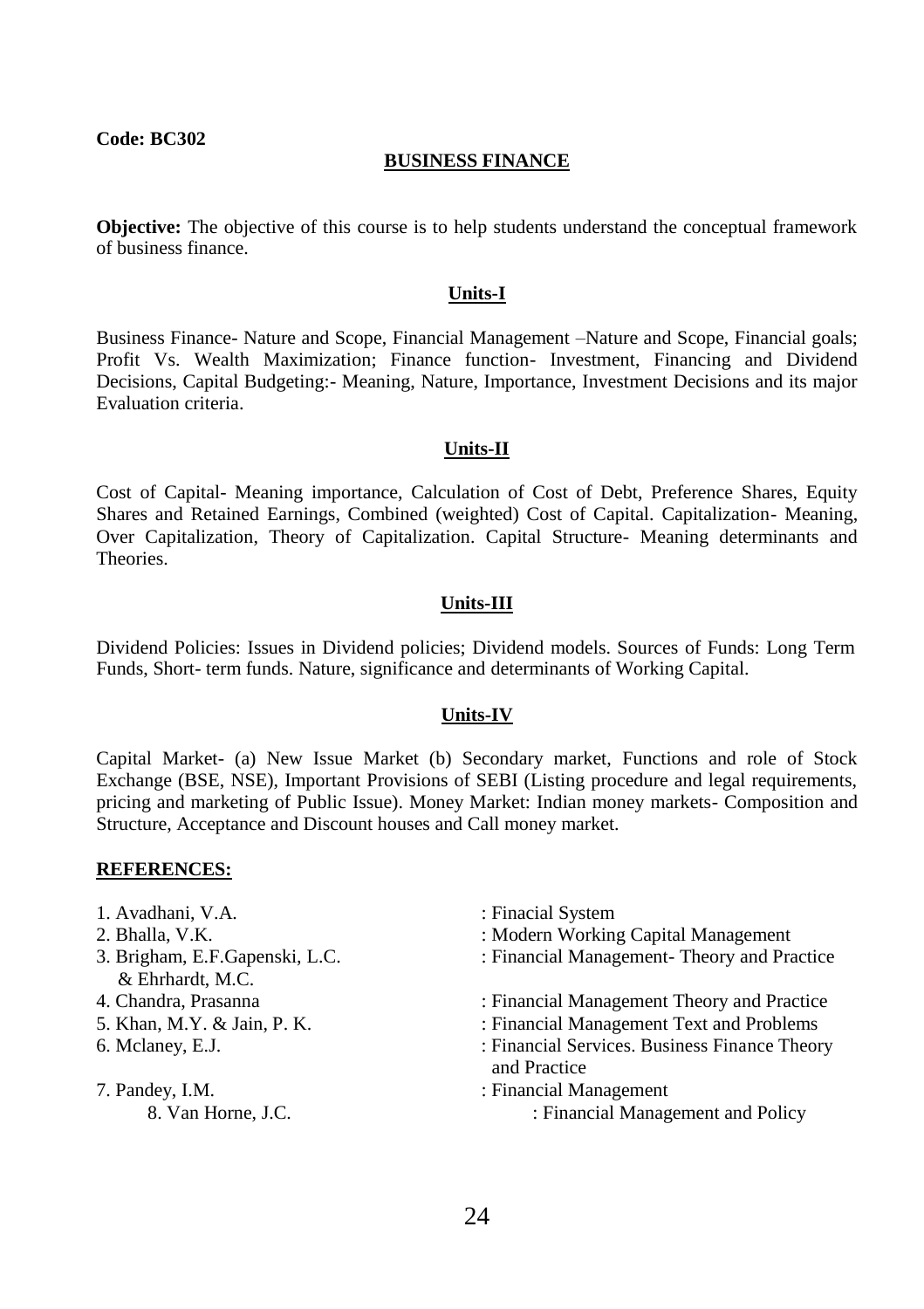#### **BUSINESS FINANCE**

**Objective:** The objective of this course is to help students understand the conceptual framework of business finance.

#### **Units-I**

Business Finance- Nature and Scope, Financial Management –Nature and Scope, Financial goals; Profit Vs. Wealth Maximization; Finance function- Investment, Financing and Dividend Decisions, Capital Budgeting:- Meaning, Nature, Importance, Investment Decisions and its major Evaluation criteria.

#### **Units-II**

Cost of Capital- Meaning importance, Calculation of Cost of Debt, Preference Shares, Equity Shares and Retained Earnings, Combined (weighted) Cost of Capital. Capitalization- Meaning, Over Capitalization, Theory of Capitalization. Capital Structure- Meaning determinants and Theories.

#### **Units-III**

Dividend Policies: Issues in Dividend policies; Dividend models. Sources of Funds: Long Term Funds, Short- term funds. Nature, significance and determinants of Working Capital.

#### **Units-IV**

Capital Market- (a) New Issue Market (b) Secondary market, Functions and role of Stock Exchange (BSE, NSE), Important Provisions of SEBI (Listing procedure and legal requirements, pricing and marketing of Public Issue). Money Market: Indian money markets- Composition and Structure, Acceptance and Discount houses and Call money market.

- 1. Avadhani, V.A. : Finacial System
- 
- & Ehrhardt, M.C.
- 
- 
- 
- 
- 
- 2. Bhalla, V.K. **: Modern Working Capital Management**
- 3. Brigham, E.F.Gapenski, L.C. : Financial Management- Theory and Practice
- 4. Chandra, Prasanna : Financial Management Theory and Practice
- 5. Khan, M.Y. & Jain, P. K. : Financial Management Text and Problems
- 6. Mclaney, E.J. : Financial Services. Business Finance Theory and Practice
- 7. Pandey, I.M. : Financial Management 8. Van Horne, J.C. **S. 198. Interval Analysis A. Van Horne, J.C.** is Financial Management and Policy
	- 24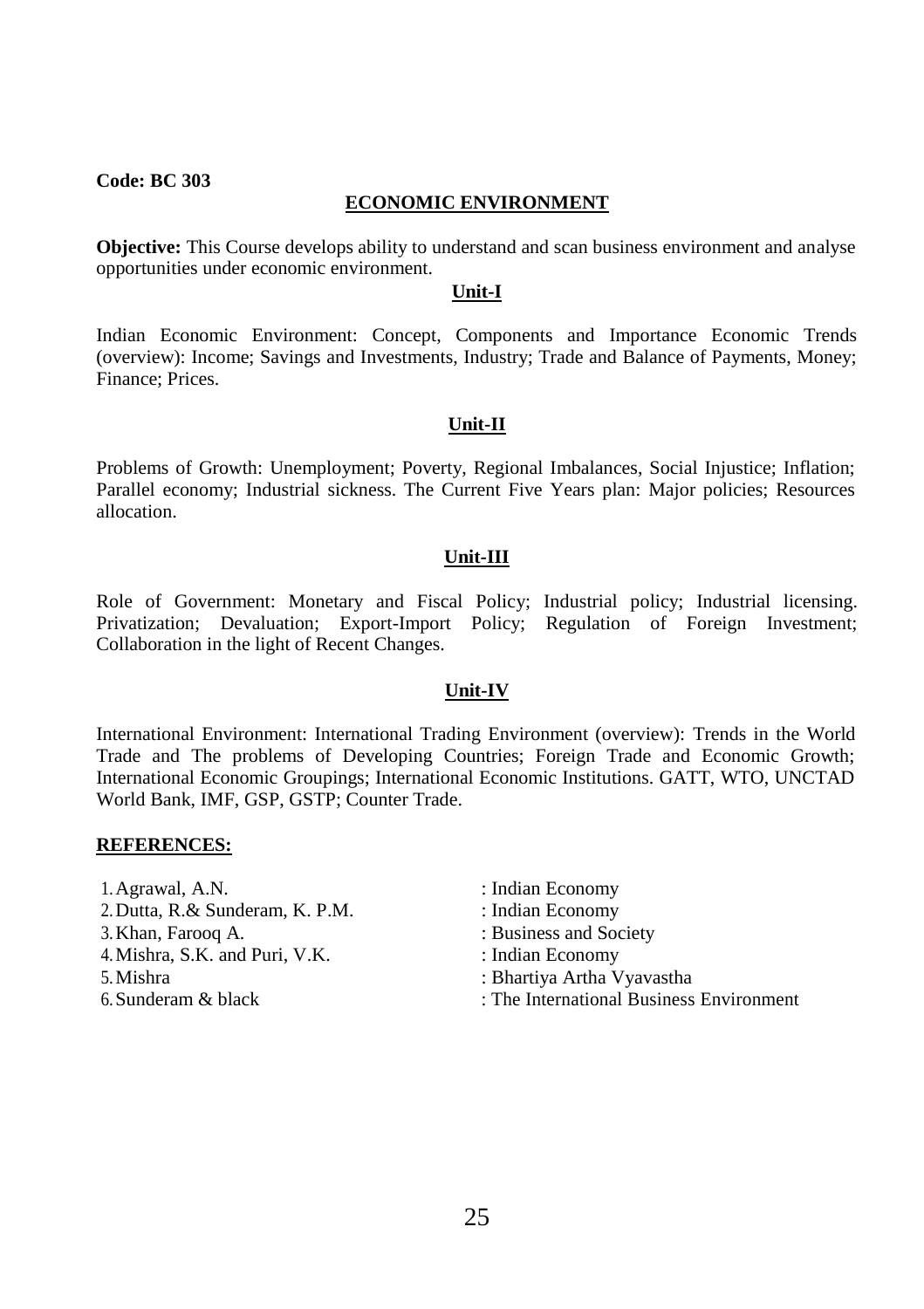# **ECONOMIC ENVIRONMENT**

**Objective:** This Course develops ability to understand and scan business environment and analyse opportunities under economic environment.

#### **Unit-I**

Indian Economic Environment: Concept, Components and Importance Economic Trends (overview): Income; Savings and Investments, Industry; Trade and Balance of Payments, Money; Finance; Prices.

#### **Unit-II**

Problems of Growth: Unemployment; Poverty, Regional Imbalances, Social Injustice; Inflation; Parallel economy; Industrial sickness. The Current Five Years plan: Major policies; Resources allocation.

#### **Unit-III**

Role of Government: Monetary and Fiscal Policy; Industrial policy; Industrial licensing. Privatization; Devaluation; Export-Import Policy; Regulation of Foreign Investment; Collaboration in the light of Recent Changes.

#### **Unit-IV**

International Environment: International Trading Environment (overview): Trends in the World Trade and The problems of Developing Countries; Foreign Trade and Economic Growth; International Economic Groupings; International Economic Institutions. GATT, WTO, UNCTAD World Bank, IMF, GSP, GSTP; Counter Trade.

- 1. Agrawal, A.N. : Indian Economy 2. Dutta, R.& Sunderam, K. P.M. : Indian Economy 3. Khan, Farooq A. : Business and Society 4. Mishra, S.K. and Puri, V.K. : 1996 : Indian Economy 5.Mishra : Bhartiya Artha Vyavastha
- -
	-
	-
	-
- 6.Sunderam & black : The International Business Environment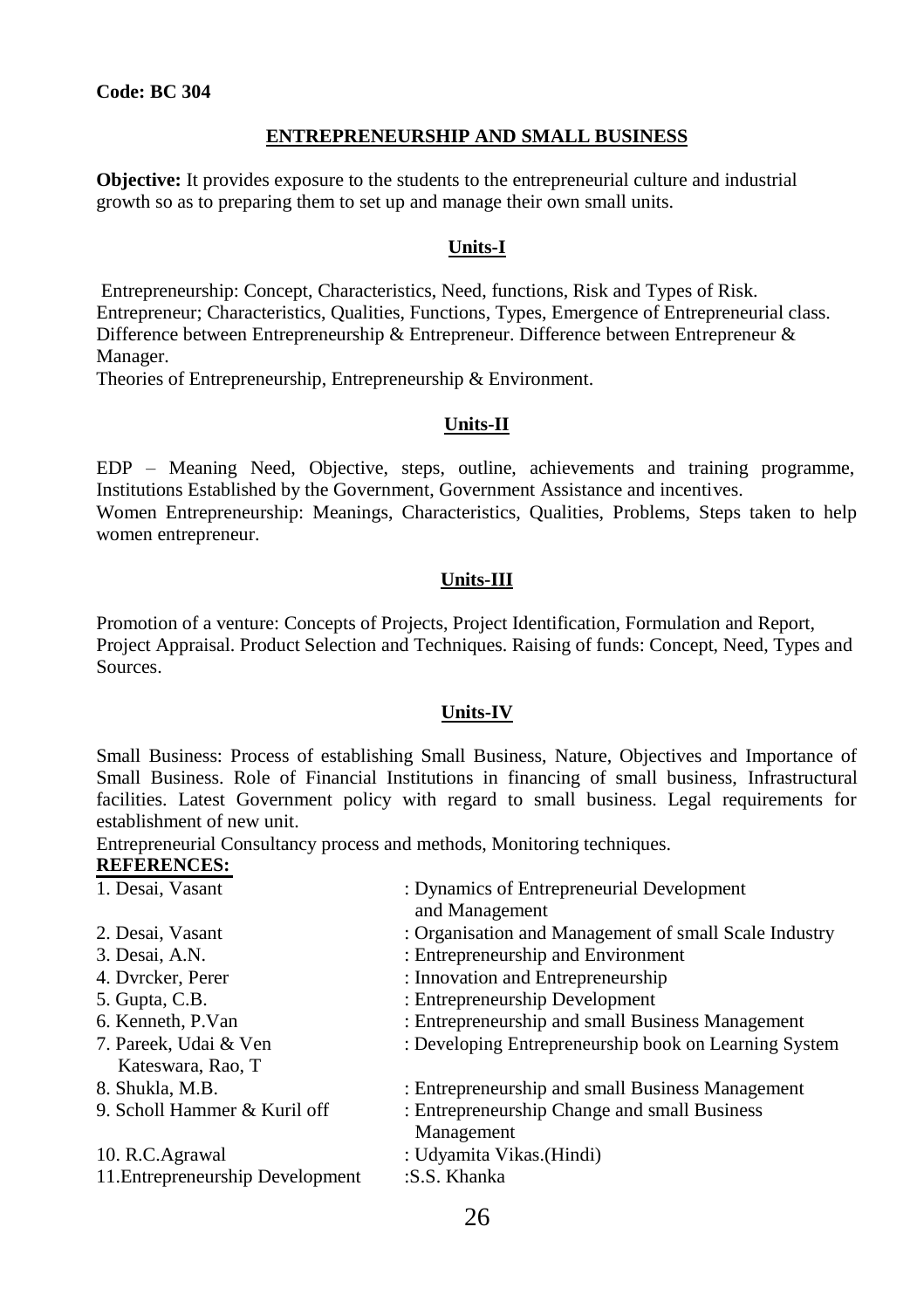# **ENTREPRENEURSHIP AND SMALL BUSINESS**

**Objective:** It provides exposure to the students to the entrepreneurial culture and industrial growth so as to preparing them to set up and manage their own small units.

# **Units-I**

Entrepreneurship: Concept, Characteristics, Need, functions, Risk and Types of Risk. Entrepreneur; Characteristics, Qualities, Functions, Types, Emergence of Entrepreneurial class. Difference between Entrepreneurship & Entrepreneur. Difference between Entrepreneur & Manager.

Theories of Entrepreneurship, Entrepreneurship & Environment.

# **Units-II**

EDP – Meaning Need, Objective, steps, outline, achievements and training programme, Institutions Established by the Government, Government Assistance and incentives. Women Entrepreneurship: Meanings, Characteristics, Qualities, Problems, Steps taken to help women entrepreneur.

# **Units-III**

Promotion of a venture: Concepts of Projects, Project Identification, Formulation and Report, Project Appraisal. Product Selection and Techniques. Raising of funds: Concept, Need, Types and Sources.

# **Units-IV**

Small Business: Process of establishing Small Business, Nature, Objectives and Importance of Small Business. Role of Financial Institutions in financing of small business, Infrastructural facilities. Latest Government policy with regard to small business. Legal requirements for establishment of new unit.

Entrepreneurial Consultancy process and methods, Monitoring techniques. **REFERENCES:**

| 1. Desai, Vasant                 | : Dynamics of Entrepreneurial Development<br>and Management |
|----------------------------------|-------------------------------------------------------------|
| 2. Desai, Vasant                 | : Organisation and Management of small Scale Industry       |
| 3. Desai, A.N.                   | : Entrepreneurship and Environment                          |
| 4. Dyrcker, Perer                | : Innovation and Entrepreneurship                           |
| 5. Gupta, C.B.                   | : Entrepreneurship Development                              |
| 6. Kenneth, P.Van                | : Entrepreneurship and small Business Management            |
| 7. Pareek, Udai & Ven            | : Developing Entrepreneurship book on Learning System       |
| Kateswara, Rao, T                |                                                             |
| 8. Shukla, M.B.                  | : Entrepreneurship and small Business Management            |
| 9. Scholl Hammer & Kuril off     | : Entrepreneurship Change and small Business                |
|                                  | Management                                                  |
| 10. R.C.Agrawal                  | : Udyamita Vikas. (Hindi)                                   |
| 11. Entrepreneurship Development | :S.S. Khanka                                                |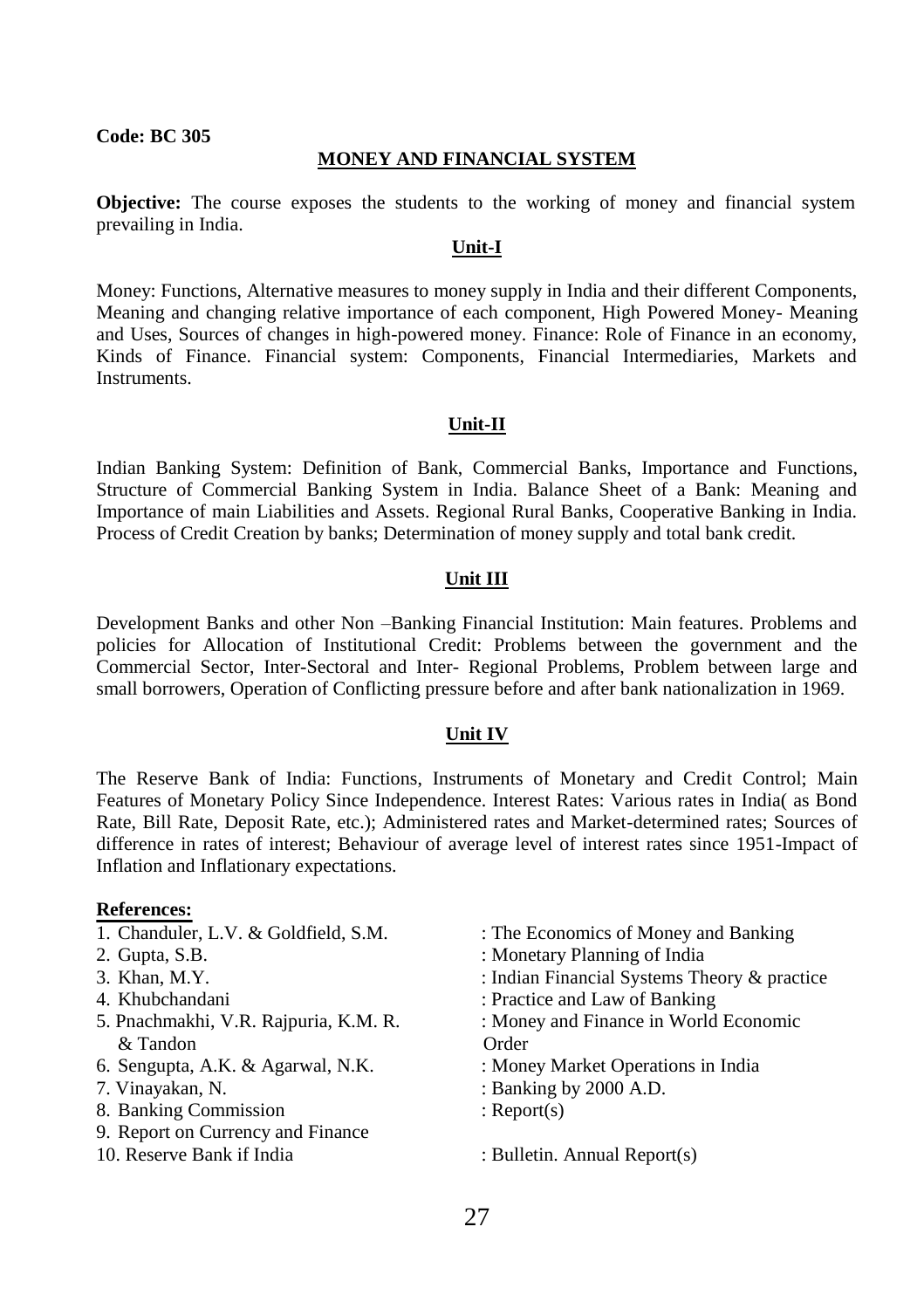#### **MONEY AND FINANCIAL SYSTEM**

**Objective:** The course exposes the students to the working of money and financial system prevailing in India.

# **Unit-I**

Money: Functions, Alternative measures to money supply in India and their different Components, Meaning and changing relative importance of each component, High Powered Money- Meaning and Uses, Sources of changes in high-powered money. Finance: Role of Finance in an economy, Kinds of Finance. Financial system: Components, Financial Intermediaries, Markets and Instruments.

#### **Unit-II**

Indian Banking System: Definition of Bank, Commercial Banks, Importance and Functions, Structure of Commercial Banking System in India. Balance Sheet of a Bank: Meaning and Importance of main Liabilities and Assets. Regional Rural Banks, Cooperative Banking in India. Process of Credit Creation by banks; Determination of money supply and total bank credit.

#### **Unit III**

Development Banks and other Non –Banking Financial Institution: Main features. Problems and policies for Allocation of Institutional Credit: Problems between the government and the Commercial Sector, Inter-Sectoral and Inter- Regional Problems, Problem between large and small borrowers, Operation of Conflicting pressure before and after bank nationalization in 1969.

#### **Unit IV**

The Reserve Bank of India: Functions, Instruments of Monetary and Credit Control; Main Features of Monetary Policy Since Independence. Interest Rates: Various rates in India( as Bond Rate, Bill Rate, Deposit Rate, etc.); Administered rates and Market-determined rates; Sources of difference in rates of interest; Behaviour of average level of interest rates since 1951-Impact of Inflation and Inflationary expectations.

#### **References:**

- 
- 
- 
- 
- & Tandon Order
- 
- 
- 8. Banking Commission : Report(s)
- 9. Report on Currency and Finance
- 10. Reserve Bank if India : Bulletin. Annual Report(s)
- 1. Chanduler, L.V. & Goldfield, S.M. : The Economics of Money and Banking
- 2. Gupta, S.B. : Monetary Planning of India
- 3. Khan, M.Y. : Indian Financial Systems Theory & practice
- 4. Khubchandani : Practice and Law of Banking
- 5. Pnachmakhi, V.R. Rajpuria, K.M. R. : Money and Finance in World Economic
- 6. Sengupta, A.K. & Agarwal, N.K. : Money Market Operations in India
- 7. Vinayakan, N. : Banking by 2000 A.D.
	-
	-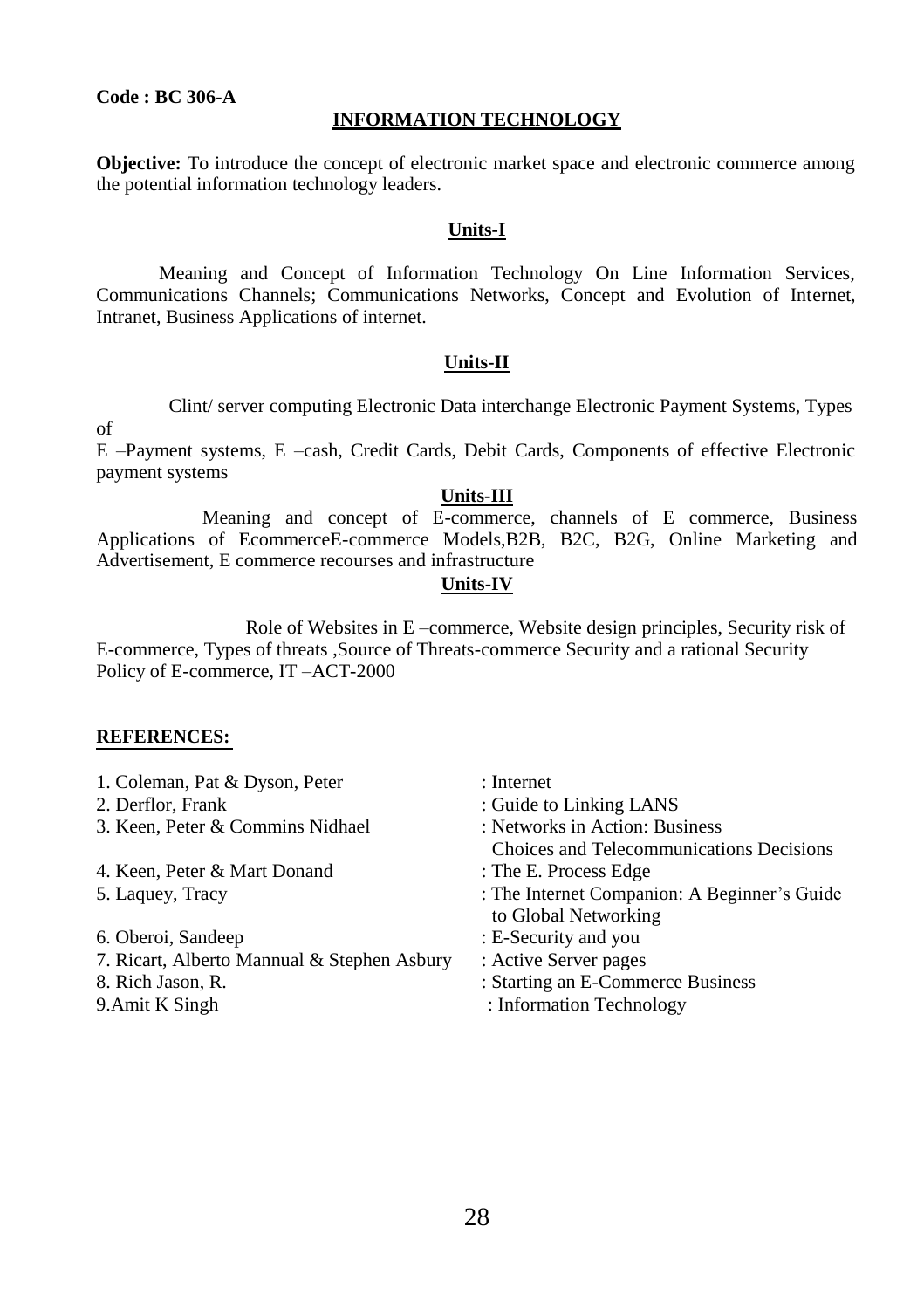# **Code : BC 306-A**

#### **INFORMATION TECHNOLOGY**

**Objective:** To introduce the concept of electronic market space and electronic commerce among the potential information technology leaders.

#### **Units-I**

Meaning and Concept of Information Technology On Line Information Services, Communications Channels; Communications Networks, Concept and Evolution of Internet, Intranet, Business Applications of internet.

#### **Units-II**

Clint/ server computing Electronic Data interchange Electronic Payment Systems, Types

E –Payment systems, E –cash, Credit Cards, Debit Cards, Components of effective Electronic payment systems

#### **Units-III**

Meaning and concept of E-commerce, channels of E commerce, Business Applications of EcommerceE-commerce Models,B2B, B2C, B2G, Online Marketing and Advertisement, E commerce recourses and infrastructure

#### **Units-IV**

Role of Websites in E –commerce, Website design principles, Security risk of E-commerce, Types of threats ,Source of Threats-commerce Security and a rational Security Policy of E-commerce, IT –ACT-2000

#### **REFERENCES:**

of

| : Internet                                                           |
|----------------------------------------------------------------------|
| : Guide to Linking LANS                                              |
| : Networks in Action: Business                                       |
| Choices and Telecommunications Decisions                             |
| : The E. Process Edge                                                |
| : The Internet Companion: A Beginner's Guide<br>to Global Networking |
| : E-Security and you                                                 |
| : Active Server pages                                                |
| : Starting an E-Commerce Business                                    |
| : Information Technology                                             |
|                                                                      |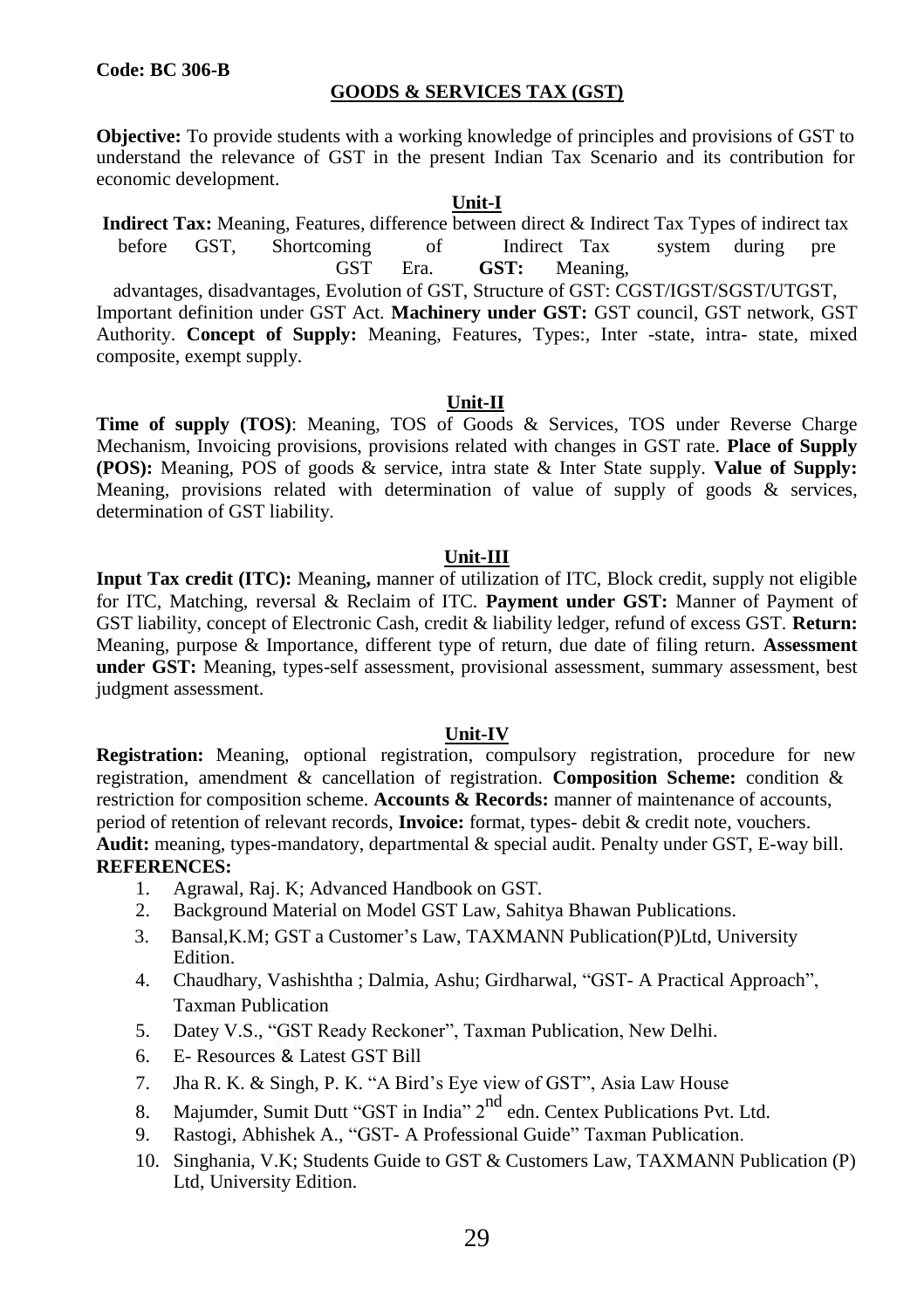composite, exempt supply.

# **GOODS & SERVICES TAX (GST)**

**Objective:** To provide students with a working knowledge of principles and provisions of GST to understand the relevance of GST in the present Indian Tax Scenario and its contribution for economic development.

#### **Unit-I**

**Indirect Tax:** Meaning, Features, difference between direct & Indirect Tax Types of indirect tax before GST, Shortcoming of Indirect Tax system during pre GST Era. **GST:** Meaning, advantages, disadvantages, Evolution of GST, Structure of GST: CGST/IGST/SGST/UTGST, Important definition under GST Act. **Machinery under GST:** GST council, GST network, GST Authority. **Concept of Supply:** Meaning, Features, Types:, Inter -state, intra- state, mixed

#### **Unit-II**

**Time of supply (TOS)**: Meaning, TOS of Goods & Services, TOS under Reverse Charge Mechanism, Invoicing provisions, provisions related with changes in GST rate. **Place of Supply (POS):** Meaning, POS of goods & service, intra state & Inter State supply. **Value of Supply:**  Meaning, provisions related with determination of value of supply of goods  $\&$  services, determination of GST liability.

#### **Unit-III**

**Input Tax credit (ITC):** Meaning**,** manner of utilization of ITC, Block credit, supply not eligible for ITC, Matching, reversal & Reclaim of ITC. **Payment under GST:** Manner of Payment of GST liability, concept of Electronic Cash, credit & liability ledger, refund of excess GST. **Return:**  Meaning, purpose & Importance, different type of return, due date of filing return. **Assessment under GST:** Meaning, types-self assessment, provisional assessment, summary assessment, best judgment assessment.

#### **Unit-IV**

**Registration:** Meaning, optional registration, compulsory registration, procedure for new registration, amendment & cancellation of registration. **Composition Scheme:** condition & restriction for composition scheme. **Accounts & Records:** manner of maintenance of accounts, period of retention of relevant records, **Invoice:** format, types- debit & credit note, vouchers. **Audit:** meaning, types-mandatory, departmental & special audit. Penalty under GST, E-way bill. **REFERENCES:**

- 1. Agrawal, Raj. K; Advanced Handbook on GST.
- 2. Background Material on Model GST Law, Sahitya Bhawan Publications.
- 3. Bansal,K.M; GST a Customer's Law, TAXMANN Publication(P)Ltd, University Edition.
- 4. Chaudhary, Vashishtha ; Dalmia, Ashu; Girdharwal, "GST- A Practical Approach", Taxman Publication
- 5. Datey V.S., "GST Ready Reckoner", Taxman Publication, New Delhi.
- 6. E- Resources & Latest GST Bill
- 7. Jha R. K. & Singh, P. K. "A Bird's Eye view of GST", Asia Law House
- 8. Majumder, Sumit Dutt "GST in India" 2<sup>nd</sup> edn. Centex Publications Pvt. Ltd.
- 9. Rastogi, Abhishek A., "GST- A Professional Guide" Taxman Publication.
- 10. Singhania, V.K; Students Guide to GST & Customers Law, TAXMANN Publication (P) Ltd, University Edition.